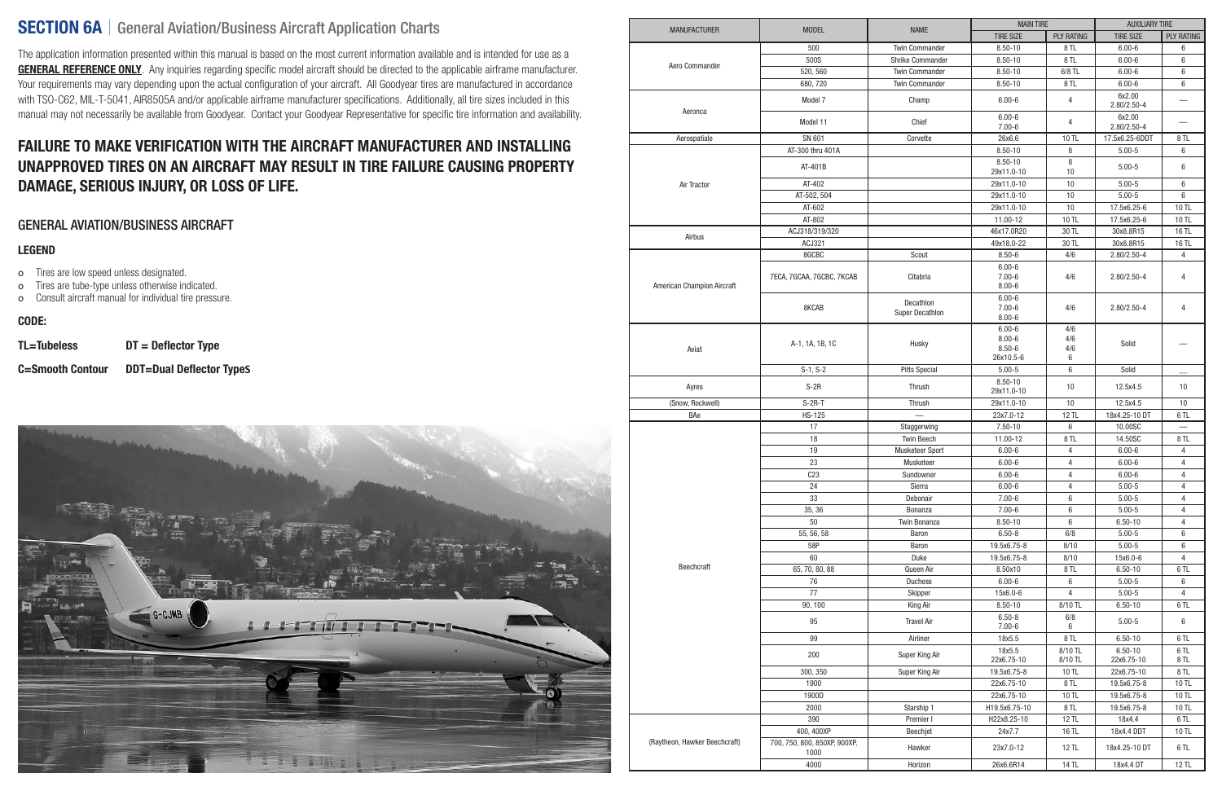# SECTION 6A | General Aviation/Business Aircraft Application Charts

The application information presented within this manual is based on the most current information available and is intended for use as a **GENERAL REFERENCE ONLY**. Any inquiries regarding specific model aircraft should be directed to the applicable airframe manufacturer. Your requirements may vary depending upon the actual configuration of your aircraft. All Goodyear tires are manufactured in accordance with TSO-C62, MIL-T-5041, AIR8505A and/or applicable airframe manufacturer specifications. Additionally, all tire sizes included in this manual may not necessarily be available from Goodyear. Contact your Goodyear Representative for specific tire information and availability.

# FAILURE TO MAKE VERIFICATION WITH THE AIRCRAFT MANUFACTURER AND INSTALLING UNAPPROVED TIRES ON AN AIRCRAFT MAY RESULT IN TIRE FAILURE CAUSING PROPERTY DAMAGE, SERIOUS INJURY, OR LOSS OF LIFE.

## GENERAL AVIATION/BUSINESS AIRCRAFT

#### LEGEND

- o Tires are low speed unless designated.
- o Tires are tube-type unless otherwise indicated.
- o Consult aircraft manual for individual tire pressure.

### CODE:

TL=Tubeless DT = Deflector Type

C=Smooth Contour DDT=Dual Deflector Type**S**



| <b>MANUFACTURER</b>           | <b>MODEL</b>                               | <b>NAME</b>                         | <b>MAIN TIRE</b>                                    |                        | <b>AUXILIARY TIRE</b>     |                   |
|-------------------------------|--------------------------------------------|-------------------------------------|-----------------------------------------------------|------------------------|---------------------------|-------------------|
|                               |                                            |                                     | <b>TIRE SIZE</b>                                    | <b>PLY RATING</b>      | <b>TIRE SIZE</b>          | <b>PLY RATING</b> |
|                               | 500                                        | <b>Twin Commander</b>               | $8.50 - 10$                                         | 8TL                    | $6.00 - 6$                | 6                 |
|                               | 500S                                       | Shrike Commander                    | $8.50 - 10$                                         | 8TL                    | $6.00 - 6$                | 6                 |
| Aero Commander                | 520, 560                                   | <b>Twin Commander</b>               | $8.50 - 10$                                         | $6/8$ TL               | $6.00 - 6$                | 6                 |
|                               | 680,720                                    | <b>Twin Commander</b>               | $8.50 - 10$                                         | 8TL                    | $6.00 - 6$                | 6                 |
|                               | Model 7                                    | Champ                               | $6.00 - 6$                                          | 4                      | 6x2.00<br>$2.80/2.50 - 4$ |                   |
| Aeronca                       | Model 11                                   | Chief                               | $6.00 - 6$<br>$7.00 - 6$                            | 4                      | 6x2.00<br>$2.80/2.50 - 4$ |                   |
| Aerospatiale                  | SN 601                                     | Corvette                            | 26x6.6                                              | 10 TL                  | 17.5x6.25-6DDT            | 8 TL              |
|                               | AT-300 thru 401A                           |                                     | $8.50 - 10$                                         | 8                      | $5.00 - 5$                | 6                 |
|                               | AT-401B                                    |                                     | $8.50 - 10$<br>29x11.0-10                           | 8<br>10                | $5.00 - 5$                | 6                 |
| Air Tractor                   | AT-402                                     |                                     | 29x11.0-10                                          | 10                     | $5.00 - 5$                | $\,6$             |
|                               | AT-502, 504                                |                                     | 29x11.0-10                                          | 10                     | $5.00 - 5$                | 6                 |
|                               | AT-602                                     |                                     | 29x11.0-10                                          | 10                     | 17.5x6.25-6               | 10 TL             |
|                               | AT-802                                     |                                     | 11.00-12                                            | 10 TL                  | 17.5x6.25-6               | 10 TL             |
|                               | ACJ318/319/320                             |                                     | 46x17.0R20                                          | 30 TL                  | 30x8.8R15                 | 16 TL             |
| Airbus                        | ACJ321                                     |                                     | 49x18.0-22                                          | 30 TL                  | 30x8.8R15                 | 16 TL             |
|                               | 8GCBC                                      | Scout                               | $8.50 - 6$                                          | 4/6                    | $2.80/2.50 - 4$           | 4                 |
|                               |                                            |                                     | $6.00 - 6$                                          |                        |                           |                   |
| American Champion Aircraft    | 7ECA, 7GCAA, 7GCBC, 7KCAB                  | Citabria                            | $7.00 - 6$<br>$8.00 - 6$                            | 4/6                    | 2.80/2.50-4               | 4                 |
|                               | 8KCAB                                      | Decathlon<br><b>Super Decathlon</b> | $6.00 - 6$<br>$7.00 - 6$<br>$8.00 - 6$              | 4/6                    | $2.80/2.50 - 4$           | 4                 |
| Aviat                         | A-1, 1A, 1B, 1C                            | Husky                               | $6.00 - 6$<br>$8.00 - 6$<br>$8.50 - 6$<br>26x10.5-6 | 4/6<br>4/6<br>4/6<br>6 | Solid                     |                   |
|                               | $S-1, S-2$                                 | <b>Pitts Special</b>                | $5.00 - 5$                                          | 6                      | Solid                     |                   |
| Ayres                         | $S-2R$                                     | Thrush                              | $8.50 - 10$<br>29x11.0-10                           | 10                     | 12.5x4.5                  | 10                |
| (Snow, Rockwell)              | $S-2R-T$                                   | Thrush                              | 29x11.0-10                                          | $10$                   | 12.5x4.5                  | $10$              |
| BAe                           | <b>HS-125</b>                              |                                     | 23x7.0-12                                           | 12 TL                  | 18x4.25-10 DT             | 6 TL              |
|                               | 17                                         | Staggerwing                         | $7.50 - 10$                                         | 6                      | 10.00SC                   |                   |
|                               | 18                                         | <b>Twin Beech</b>                   | 11.00-12                                            | 8TL                    | 14.50SC                   | 8 TL              |
|                               | 19                                         | Musketeer Sport                     | $6.00 - 6$                                          | 4                      | $6.00 - 6$                | 4                 |
|                               | 23                                         | Musketeer                           | $6.00 - 6$                                          | $\overline{4}$         | $6.00 - 6$                | $\overline{4}$    |
|                               | C <sub>23</sub>                            | Sundowner                           | $6.00 - 6$                                          | 4                      | $6.00 - 6$                | 4                 |
|                               | 24                                         | Sierra                              | $6.00 - 6$                                          | 4                      | $5.00 - 5$                | 4                 |
|                               | 33                                         | Debonair                            | $7.00 - 6$                                          | 6                      | $5.00 - 5$                | 4                 |
|                               | 35, 36                                     | Bonanza                             | $7.00 - 6$                                          | 6                      | $5.00 - 5$                | 4                 |
|                               | 50                                         | Twin Bonanza                        | $8.50 - 10$                                         | 6                      | $6.50 - 10$               | 4                 |
|                               | 55, 56, 58                                 | Baron                               | $6.50 - 8$                                          | 6/8                    | $5.00 - 5$                | 6                 |
|                               | 58P                                        | Baron                               | 19.5x6.75-8                                         | 8/10                   | $5.00 - 5$                | 6                 |
|                               | 60                                         | Duke                                | 19.5x6.75-8                                         | 8/10                   | 15x6.0-6                  | 4                 |
| Beechcraft                    | 65, 70, 80, 88                             | Queen Air                           | 8.50x10                                             | 8TL                    | $6.50 - 10$               | 6 TL              |
|                               | 76                                         | <b>Duchess</b>                      | $6.00 - 6$                                          | 6                      | $5.00 - 5$                | 6                 |
|                               | 77                                         | Skipper                             | 15x6.0-6                                            | 4                      | $5.00 - 5$                | 4                 |
|                               | 90, 100                                    | King Air                            | $8.50 - 10$                                         | 8/10 TL                | $6.50 - 10$               | 6 TL              |
|                               | 95                                         | <b>Travel Air</b>                   | $6.50 - 8$                                          | 6/8                    | $5.00 - 5$                | 6                 |
|                               |                                            |                                     | $7.00 - 6$                                          | 6                      |                           |                   |
|                               | 99                                         | Airliner                            | 18x5.5                                              | 8TL                    | $6.50 - 10$               | 6 TL              |
|                               | 200                                        | Super King Air                      | 18x5.5<br>22x6.75-10                                | 8/10 TL<br>8/10 TL     | $6.50 - 10$<br>22x6.75-10 | 6TL<br>8 TL       |
|                               | 300, 350                                   | Super King Air                      | 19.5x6.75-8                                         | 10 TL                  | 22x6.75-10                | 8 TL              |
|                               | 1900                                       |                                     | 22x6.75-10                                          | 8 TL                   | 19.5x6.75-8               | 10 TL             |
|                               | 1900D                                      |                                     | 22x6.75-10                                          | 10 TL                  | 19.5x6.75-8               | 10 TL             |
|                               | 2000                                       | Starship 1                          | H19.5x6.75-10                                       | 8TL                    | 19.5x6.75-8               | 10 TL             |
|                               | 390                                        | Premier I                           | H22x8.25-10                                         | 12 TL                  | 18x4.4                    | 6 TL              |
| (Raytheon, Hawker Beechcraft) | 400, 400XP<br>700, 750, 800, 850XP, 900XP, | Beechjet                            | 24x7.7                                              | 16 TL                  | 18x4.4 DDT                | 10 TL             |
|                               | 1000                                       | Hawker                              | 23x7.0-12                                           | 12 TL                  | 18x4.25-10 DT             | 6 TL              |
|                               | 4000                                       | Horizon                             | 26x6.6R14                                           | 14 TL                  | 18x4.4 DT                 | 12 TL             |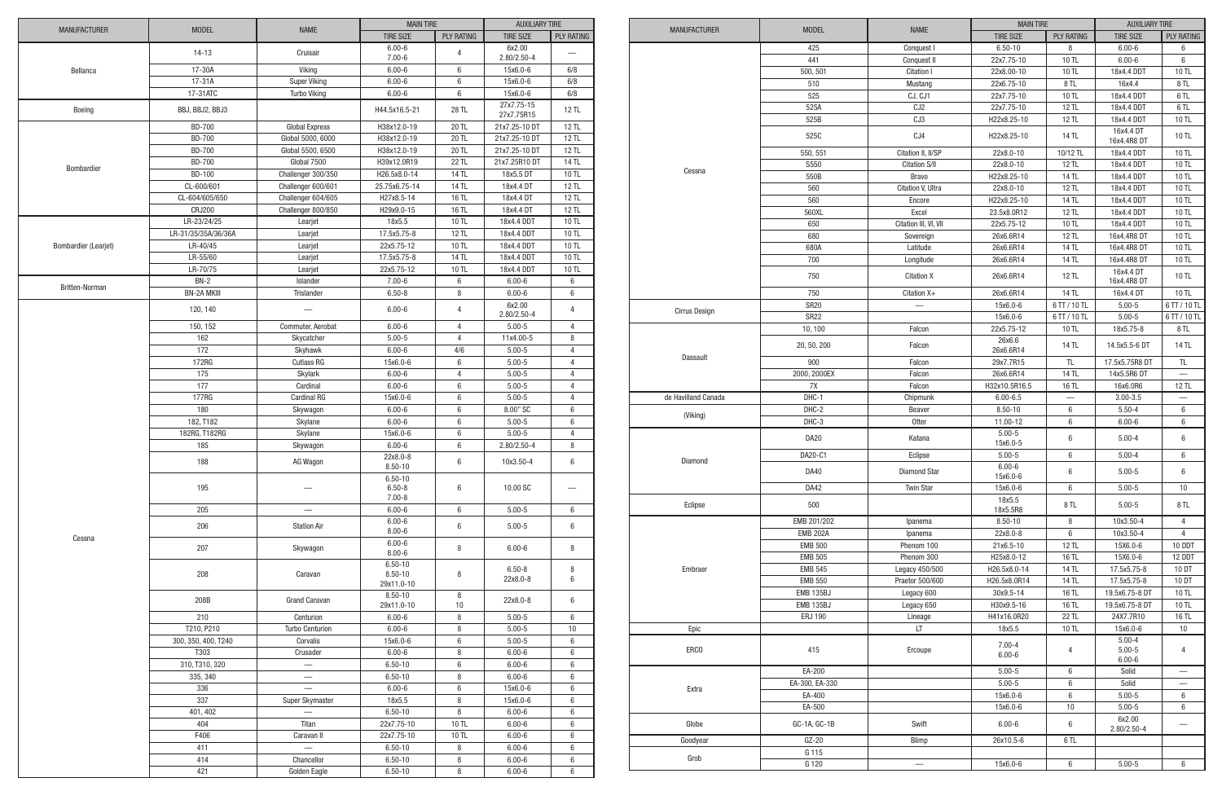|                      |                     |                                        | <b>MAIN TIRE</b>                         |                   | <b>AUXILIARY TIRE</b>     |                   |
|----------------------|---------------------|----------------------------------------|------------------------------------------|-------------------|---------------------------|-------------------|
| <b>MANUFACTURER</b>  | <b>MODEL</b>        | <b>NAME</b>                            | <b>TIRE SIZE</b>                         | <b>PLY RATING</b> | <b>TIRE SIZE</b>          | <b>PLY RATING</b> |
|                      | $14-13$             | Cruisair                               | $6.00 - 6$<br>$7.00 - 6$                 | 4                 | 6x2.00<br>2.80/2.50-4     |                   |
| Bellanca             | 17-30A              | Viking                                 | $6.00 - 6$                               | 6                 | 15x6.0-6                  | 6/8               |
|                      | 17-31A              | <b>Super Viking</b>                    | $6.00 - 6$                               | 6                 | 15x6.0-6                  | 6/8               |
|                      | 17-31ATC            | <b>Turbo Viking</b>                    | $6.00 - 6$                               | 6                 | 15x6.0-6                  | 6/8               |
| Boeing               | BBJ, BBJ2, BBJ3     |                                        | H44.5x16.5-21                            | 28 TL             | 27x7.75-15<br>27x7.75R15  | 12 TL             |
|                      | <b>BD-700</b>       | <b>Global Express</b>                  | H38x12.0-19                              | 20 TL             | 21x7.25-10 DT             | 12 TL             |
|                      | <b>BD-700</b>       | Global 5000, 6000                      | H38x12.0-19                              | 20 TL             | 21x7.25-10 DT             | 12 TL             |
|                      | <b>BD-700</b>       |                                        |                                          |                   |                           |                   |
|                      |                     | Global 5500, 6500                      | H38x12.0-19                              | 20 TL             | 21x7.25-10 DT             | 12 TL             |
| Bombardier           | <b>BD-700</b>       | Global 7500                            | H39x12.0R19                              | 22 TL             | 21x7.25R10 DT             | 14 TL             |
|                      | <b>BD-100</b>       | Challenger 300/350                     | H26.5x8.0-14                             | 14 TL             | 18x5.5 DT                 | 10 TL             |
|                      | CL-600/601          | Challenger 600/601                     | 25.75x6.75-14                            | 14 TL             | 18x4.4 DT                 | 12 TL             |
|                      | CL-604/605/650      | Challenger 604/605                     | H27x8.5-14                               | 16 TL             | 18x4.4 DT                 | 12 TL             |
|                      | <b>CRJ200</b>       | Challenger 800/850                     | H29x9.0-15                               | 16 TL             | 18x4.4 DT                 | 12 TL             |
|                      | LR-23/24/25         | Learjet                                | 18x5.5                                   | 10 TL             | 18x4.4 DDT                | 10 TL             |
|                      | LR-31/35/35A/36/36A | Learjet                                | 17.5x5.75-8                              | <b>12 TL</b>      | 18x4.4 DDT                | 10 TL             |
| Bombardier (Learjet) | LR-40/45            | Learjet                                | 22x5.75-12                               | 10 TL             | 18x4.4 DDT                | 10 TL             |
|                      | LR-55/60            | Learjet                                | 17.5x5.75-8                              | 14 TL             | 18x4.4 DDT                | 10 TL             |
|                      | LR-70/75            | Learjet                                | 22x5.75-12                               | 10 TL             | 18x4.4 DDT                | 10 TL             |
| Britten-Norman       | $BN-2$              | Islander                               | $7.00 - 6$                               | 6                 | $6.00 - 6$                | 6                 |
|                      | <b>BN-2A MKIII</b>  | Trislander                             | $6.50 - 8$                               | 8                 | $6.00 - 6$                | 6                 |
|                      | 120, 140            |                                        | $6.00 - 6$                               | 4                 | 6x2.00<br>$2.80/2.50 - 4$ | 4                 |
|                      | 150, 152            | Commuter, Aerobat                      | $6.00 - 6$                               | 4                 | $5.00 - 5$                | $\overline{4}$    |
|                      | 162                 | Skycatcher                             | $5.00 - 5$                               | 4                 | 11x4.00-5                 | 8                 |
|                      | 172                 | Skyhawk                                | $6.00 - 6$                               | $4/6$             | $5.00 - 5$                | $\overline{4}$    |
|                      | 172RG               | <b>Cutlass RG</b>                      | 15x6.0-6                                 | 6                 | $5.00 - 5$                | $\overline{4}$    |
|                      | 175                 | Skylark                                | $6.00 - 6$                               | 4                 | $5.00 - 5$                | $\overline{4}$    |
|                      | 177                 | Cardinal                               | $6.00 - 6$                               | 6                 | $5.00 - 5$                | $\overline{4}$    |
|                      | 177RG               | Cardinal RG                            | 15x6.0-6                                 | 6                 | $5.00 - 5$                | $\overline{4}$    |
|                      | 180                 | Skywagon                               | $6.00 - 6$                               | 6                 | 8.00" SC                  | 6                 |
|                      | 182, T182           | Skylane                                | $6.00 - 6$                               | 6                 | $5.00 - 5$                | 6                 |
|                      | 182RG, T182RG       | Skylane                                | 15x6.0-6                                 | 6                 | $5.00 - 5$                | $\overline{4}$    |
|                      | 185                 |                                        | $6.00 - 6$                               | 6                 | 2.80/2.50-4               | 8                 |
|                      |                     | Skywagon                               | 22x8.0-8                                 |                   |                           |                   |
|                      | 188                 | AG Wagon                               | $8.50 - 10$                              | 6                 | 10x3.50-4                 | 6                 |
|                      | 195                 |                                        | $6.50 - 10$<br>$6.50 - 8$<br>$7.00 - 8$  | 6                 | 10.00 SC                  |                   |
|                      | 205                 |                                        | $6.00 - 6$                               | 6                 | $5.00 - 5$                | 6                 |
|                      |                     |                                        | $6.00 - 6$                               |                   |                           |                   |
| Cessna               | 206                 | <b>Station Air</b>                     | $8.00 - 6$<br>$6.00 - 6$                 | 6                 | $5.00 - 5$                | 6                 |
|                      | 207                 | Skywagon                               | $8.00 - 6$                               | 8                 | $6.00 - 6$                | 8                 |
|                      | 208                 | Caravan                                | $6.50 - 10$<br>$8.50 - 10$<br>29x11.0-10 | 8                 | $6.50 - 8$<br>22x8.0-8    | 8<br>6            |
|                      | 208B                | <b>Grand Caravan</b>                   | $8.50 - 10$<br>29x11.0-10                | 8<br>$10$         | 22x8.0-8                  | 6                 |
|                      | 210                 | Centurion                              | $6.00 - 6$                               | 8                 | $5.00 - 5$                | 6                 |
|                      | T210, P210          | <b>Turbo Centurion</b>                 | $6.00 - 6$                               | 8                 | $5.00 - 5$                | 10                |
|                      | 300, 350, 400, T240 | Corvalis                               | 15x6.0-6                                 | 6                 | $5.00 - 5$                | 6                 |
|                      | T303                | Crusader                               | $6.00 - 6$                               | 8                 | $6.00 - 6$                | 6                 |
|                      | 310, T310, 320      | $\overline{\phantom{0}}$               | $6.50 - 10$                              | 6                 | $6.00 - 6$                | 6                 |
|                      | 335, 340            | $\overline{\phantom{0}}$               | $6.50 - 10$                              | 8                 | $6.00 - 6$                | 6                 |
|                      | 336                 | $\overline{\phantom{0}}$               | $6.00 - 6$                               | 6                 | 15x6.0-6                  | 6                 |
|                      | 337                 | Super Skymaster                        | 18x5.5                                   | 8                 | 15x6.0-6                  | 6                 |
|                      | 401, 402            |                                        | $6.50 - 10$                              | 8                 | $6.00 - 6$                | 6                 |
|                      | 404                 | Titan                                  | 22x7.75-10                               | 10 TL             | $6.00 - 6$                | 6                 |
|                      | F406                |                                        |                                          |                   |                           |                   |
|                      |                     | Caravan II<br>$\overline{\phantom{0}}$ | 22x7.75-10                               | 10 TL             | $6.00 - 6$                | 6                 |
|                      | 411                 |                                        | $6.50 - 10$                              | 8                 | $6.00 - 6$                | 6                 |
|                      | 414                 | Chancellor                             | $6.50 - 10$                              | 8                 | $6.00 - 6$                | 6                 |
|                      | 421                 | Golden Eagle                           | $6.50 - 10$                              | 8                 | $6.00 - 6$                | $\,6\,$           |

|                     | <b>MODEL</b>    | <b>NAME</b>           | <b>MAIN TIRE</b>         |                   | <b>AUXILIARY TIRE</b>    |                          |
|---------------------|-----------------|-----------------------|--------------------------|-------------------|--------------------------|--------------------------|
| <b>MANUFACTURER</b> |                 |                       | <b>TIRE SIZE</b>         | <b>PLY RATING</b> | <b>TIRE SIZE</b>         | <b>PLY RATING</b>        |
|                     | 425             | Conquest I            | $6.50 - 10$              | 8                 | $6.00 - 6$               | 6                        |
|                     | 441             | Conquest II           | 22x7.75-10               | 10 TL             | $6.00 - 6$               | 6                        |
|                     | 500, 501        | Citation I            | 22x8.00-10               | 10 TL             | 18x4.4 DDT               | 10 TL                    |
|                     | 510             | Mustang               | 22x6.75-10               | 8 TL              | 16x4.4                   | 8 TL                     |
|                     | 525             | CJ, CJ1               | 22x7.75-10               | 10 TL             | 18x4.4 DDT               | 6TL                      |
|                     | 525A            | CJ <sub>2</sub>       | 22x7.75-10               | 12 TL             | 18x4.4 DDT               | 6TL                      |
|                     | 525B            | CJ3                   | H22x8.25-10              | <b>12 TL</b>      | 18x4.4 DDT               | 10 TL                    |
|                     |                 |                       |                          |                   | 16x4.4 DT                |                          |
|                     | 525C            | CJ4                   | H22x8.25-10              | 14 TL             | 16x4.4R8 DT              | 10 TL                    |
|                     | 550, 551        | Citation II. II/SP    | 22x8.0-10                | 10/12 TL          | 18x4.4 DDT               | 10 TL                    |
| Cessna              | S550            | <b>Citation S/II</b>  | 22x8.0-10                | 12 TL             | 18x4.4 DDT               | 10 TL                    |
|                     | 550B            | <b>Bravo</b>          | H22x8.25-10              | 14 TL             | 18x4.4 DDT               | 10 TL                    |
|                     | 560             | Citation V, Ultra     | 22x8.0-10                | <b>12 TL</b>      | 18x4.4 DDT               | 10 TL                    |
|                     | 560             | Encore                | H22x8.25-10              | 14 TL             | 18x4.4 DDT               | 10 TL                    |
|                     | 560XL           | Excel                 | 23.5x8.0R12              | <b>12 TL</b>      | 18x4.4 DDT               | 10 TL                    |
|                     | 650             | Citation III, VI, VII | 22x5.75-12               | 10 TL             | 18x4.4 DDT               | 10 TL                    |
|                     | 680             | Sovereign             | 26x6.6R14                | 12 TL             | 16x4.4R8 DT              | 10 TL                    |
|                     | 680A            | Latitude              | 26x6.6R14                | 14 TL             | 16x4.4R8 DT              | 10 TL                    |
|                     | 700             | Longitude             | 26x6.6R14                | <b>14 TL</b>      | 16x4.4R8 DT              | 10 TL                    |
|                     | 750             | <b>Citation X</b>     | 26x6.6R14                | 12 TL             | 16x4.4 DT                | 10 TL                    |
|                     | 750             | Citation X+           | 26x6.6R14                | 14 TL             | 16x4.4R8 DT<br>16x4.4 DT | 10 TL                    |
|                     | <b>SR20</b>     |                       | 15x6.0-6                 | 6 TT / 10 TL      | $5.00 - 5$               | 6 TT / 10 TL             |
| Cirrus Design       | <b>SR22</b>     |                       | 15x6.0-6                 | 6 TT / 10 TL      | $5.00 - 5$               | 6 TT / 10 TL             |
|                     | 10, 100         | Falcon                | 22x5.75-12               | 10 TL             | 18x5.75-8                | 8 TL                     |
|                     |                 |                       | 26x6.6                   |                   |                          |                          |
| <b>Dassault</b>     | 20, 50, 200     | Falcon                | 26x6.6R14                | 14 TL             | 14.5x5.5-6 DT            | <b>14 TL</b>             |
|                     | 900             | Falcon                | 29x7.7R15                | <b>TL</b>         | 17.5x5.75R8 DT           | $\mathsf{TL}$            |
|                     | 2000, 2000EX    | Falcon                | 26x6.6R14                | <b>14 TL</b>      | 14x5.5R6 DT              |                          |
|                     | <b>7X</b>       | Falcon                | H32x10.5R16.5            | 16 TL             | 16x6.0R6                 | 12 TL                    |
| de Havilland Canada | DHC-1           | Chipmunk              | $6.00 - 6.5$             | $\equiv$          | $3.00 - 3.5$             | $\equiv$                 |
| (Viking)            | DHC-2           | <b>Beaver</b>         | $8.50 - 10$              | 6                 | $5.50 - 4$               | 6                        |
|                     | DHC-3           | <b>Otter</b>          | 11.00-12                 | 6                 | $6.00 - 6$               | 6                        |
|                     | <b>DA20</b>     | Katana                | $5.00 - 5$<br>15x6.0-5   | 6                 | $5.00 - 4$               | 6                        |
| Diamond             | DA20-C1         | Eclipse               | $5.00 - 5$               | $6\phantom{1}6$   | $5.00 - 4$               | $6\,$                    |
|                     | DA40            | <b>Diamond Star</b>   | $6.00 - 6$<br>15x6.0-6   | 6                 | $5.00 - 5$               | 6                        |
|                     | <b>DA42</b>     | Twin Star             | 15x6.0-6                 | 6                 | $5.00 - 5$               | 10                       |
| Eclipse             | 500             |                       | 18x5.5<br>18x5.5R8       | 8 TL              | $5.00 - 5$               | 8 TL                     |
|                     | EMB 201/202     | Ipanema               | $8.50 - 10$              | 8                 | 10x3.50-4                | 4                        |
|                     | <b>EMB 202A</b> | Ipanema               | 22x8.0-8                 | 6                 | 10x3.50-4                | $\overline{4}$           |
|                     | <b>EMB 500</b>  | Phenom 100            | 21x6.5-10                | 12 TL             | 15X6.0-6                 | 10 DDT                   |
|                     | <b>EMB 505</b>  | Phenom 300            | H25x8.0-12               | 16 TL             | 15X6.0-6                 | 12 DDT                   |
| Embraer             | <b>EMB 545</b>  | Legacy 450/500        | H26.5x8.0-14             | 14 TL             | 17.5x5.75-8              | 10 DT                    |
|                     | <b>EMB 550</b>  | Praetor 500/600       | H26.5x8.0R14             | <b>14 TL</b>      | 17.5x5.75-8              | 10 DT                    |
|                     | EMB 135BJ       | Legacy 600            | 30x9.5-14                | 16 TL             | 19.5x6.75-8 DT           | 10 TL                    |
|                     | EMB 135BJ       | Legacy 650            | H30x9.5-16               | 16 TL             | 19.5x6.75-8 DT           | 10 TL                    |
|                     | <b>ERJ 190</b>  | Lineage               | H41x16.0R20              | 22 TL             | 24X7.7R10                | 16 TL                    |
| Epic                |                 | LT                    | 18x5.5                   | 10 TL             | 15x6.0-6                 | 10                       |
|                     |                 |                       |                          |                   | $5.00 - 4$               |                          |
| ERCO                | 415             | Ercoupe               | $7.00 - 4$<br>$6.00 - 6$ | 4                 | $5.00 - 5$<br>$6.00 - 6$ | 4                        |
|                     | EA-200          |                       | $5.00 - 5$               | 6                 | Solid                    |                          |
|                     | EA-300, EA-330  |                       | $5.00 - 5$               | 6                 | Solid                    | $\overline{\phantom{0}}$ |
| Extra               | EA-400          |                       | 15x6.0-6                 | 6                 | $5.00 - 5$               | 6                        |
|                     | EA-500          |                       | 15x6.0-6                 | 10                | $5.00 - 5$               | 6                        |
| Globe               | GC-1A, GC-1B    | Swift                 | $6.00 - 6$               | 6                 | 6x2.00<br>2.80/2.50-4    |                          |
| Goodyear            | $GZ-20$         | Blimp                 | 26x10.5-6                | 6TL               |                          |                          |
|                     | G 115           |                       |                          |                   |                          |                          |
| Grob                | G 120           |                       | 15x6.0-6                 | 6                 | $5.00 - 5$               | 6                        |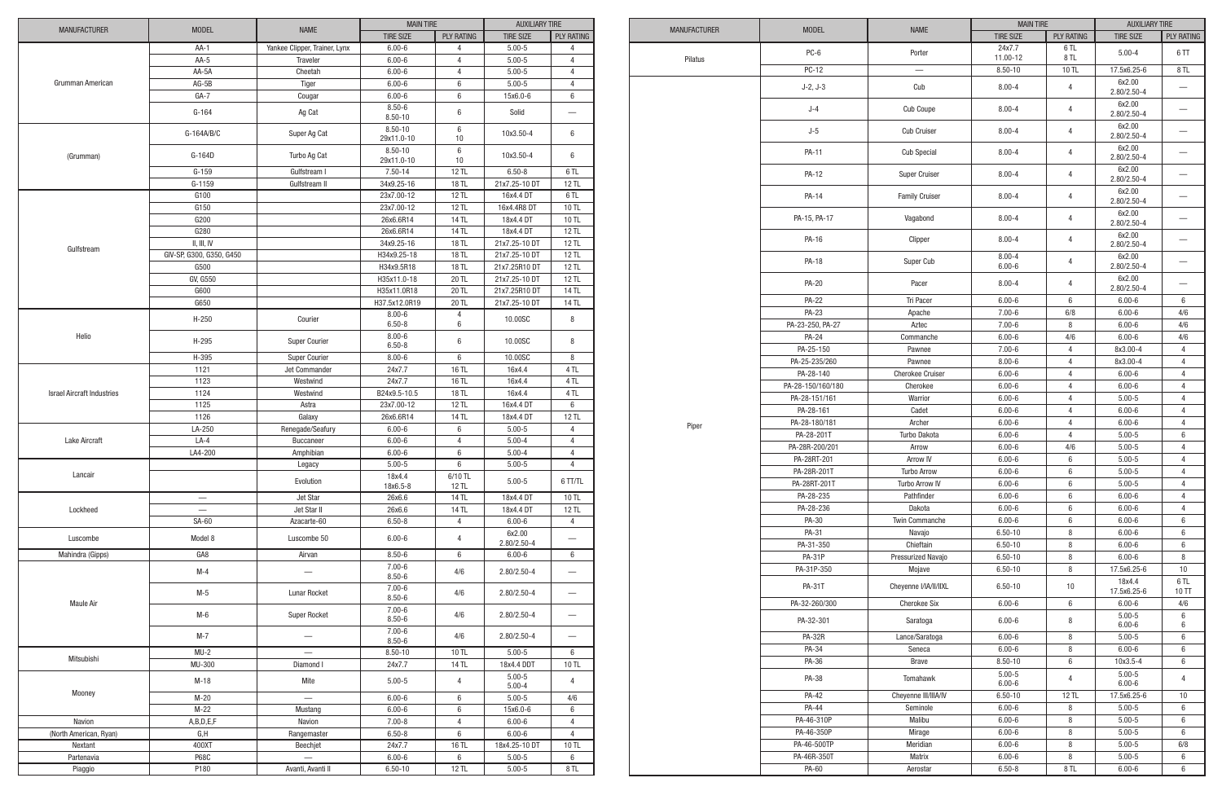|                                   |                          |                               | <b>MAIN TIRE</b>         |                   | <b>AUXILIARY TIRE</b> |                                  |
|-----------------------------------|--------------------------|-------------------------------|--------------------------|-------------------|-----------------------|----------------------------------|
| <b>MANUFACTURER</b>               | <b>MODEL</b>             | <b>NAME</b>                   | <b>TIRE SIZE</b>         | <b>PLY RATING</b> | <b>TIRE SIZE</b>      | <b>PLY RATING</b>                |
|                                   | $AA-1$                   | Yankee Clipper, Trainer, Lynx | $6.00 - 6$               | 4                 | $5.00 - 5$            | $\overline{4}$                   |
|                                   | $AA-5$                   | Traveler                      | $6.00 - 6$               | 4                 | $5.00 - 5$            | 4                                |
|                                   | AA-5A                    | Cheetah                       | $6.00 - 6$               | 4                 | $5.00 - 5$            | $\overline{4}$                   |
| Grumman American                  | $AG-5B$                  | Tiger                         | $6.00 - 6$               | 6                 | $5.00 - 5$            | 4                                |
|                                   | $GA-7$                   | Cougar                        | $6.00 - 6$               | $6\phantom{1}6$   | 15x6.0-6              | 6                                |
|                                   |                          |                               | $8.50 - 6$               |                   |                       |                                  |
|                                   | $G-164$                  | Ag Cat                        | $8.50 - 10$              | $6\phantom{1}6$   | Solid                 |                                  |
|                                   |                          |                               | $8.50 - 10$              | $\,6\,$           |                       |                                  |
|                                   | G-164A/B/C               | Super Ag Cat                  | 29x11.0-10               | 10                | 10x3.50-4             | 6                                |
|                                   |                          |                               | $8.50 - 10$              | $\,6\,$           |                       |                                  |
| (Grumman)                         | G-164D                   | Turbo Ag Cat                  | 29x11.0-10               | 10                | 10x3.50-4             | 6                                |
|                                   | $G-159$                  | Gulfstream I                  | 7.50-14                  | 12 TL             | $6.50 - 8$            | 6 TL                             |
|                                   | $G-1159$                 | Gulfstream II                 | 34x9.25-16               | 18 TL             | 21x7.25-10 DT         | 12 TL                            |
|                                   | G100                     |                               | 23x7.00-12               | 12 TL             | 16x4.4 DT             | 6TL                              |
|                                   | G150                     |                               | 23x7.00-12               | 12 TL             | 16x4.4R8 DT           | 10 TL                            |
|                                   | G200                     |                               | 26x6.6R14                | <b>14 TL</b>      | 18x4.4 DT             | 10 TL                            |
|                                   | G280                     |                               | 26x6.6R14                | <b>14 TL</b>      | 18x4.4 DT             | <b>12 TL</b>                     |
|                                   | II, III, IV              |                               | 34x9.25-16               | 18 TL             | 21x7.25-10 DT         | <b>12 TL</b>                     |
| Gulfstream                        |                          |                               |                          |                   |                       |                                  |
|                                   | GIV-SP, G300, G350, G450 |                               | H34x9.25-18              | 18 TL             | 21x7.25-10 DT         | 12 TL                            |
|                                   | G500                     |                               | H34x9.5R18               | 18 TL             | 21x7.25R10 DT         | 12 TL                            |
|                                   | GV, G550                 |                               | H35x11.0-18              | 20 TL             | 21x7.25-10 DT         | 12 TL                            |
|                                   | G600                     |                               | H35x11.0R18              | 20 TL             | 21x7.25R10 DT         | 14 TL                            |
|                                   | G650                     |                               | H37.5x12.0R19            | 20 TL             | 21x7.25-10 DT         | 14 TL                            |
|                                   | $H-250$                  | Courier                       | $8.00 - 6$               | 4                 | 10.00SC               | 8                                |
| Helio                             |                          |                               | $6.50 - 8$               | $\,6$             |                       |                                  |
|                                   | H-295                    | Super Courier                 | $8.00 - 6$<br>$6.50 - 8$ | $6\phantom{1}6$   | 10.00SC               | 8                                |
|                                   |                          |                               |                          |                   |                       |                                  |
|                                   | H-395                    | Super Courier                 | $8.00 - 6$               | $\,6\,$           | 10.00SC               | 8                                |
|                                   | 1121                     | Jet Commander                 | 24x7.7                   | 16 TL             | 16x4.4                | 4 TL                             |
|                                   | 1123                     | Westwind                      | 24x7.7                   | 16 TL             | 16x4.4                | 4 TL                             |
| <b>Israel Aircraft Industries</b> | 1124                     | Westwind                      | B24x9.5-10.5             | 18 TL             | 16x4.4                | 4 TL                             |
|                                   | 1125                     | Astra                         | 23x7.00-12               | <b>12 TL</b>      | 16x4.4 DT             | 6                                |
|                                   | 1126                     | Galaxy                        | 26x6.6R14                | 14 TL             | 18x4.4 DT             | 12 TL                            |
|                                   | LA-250                   | Renegade/Seafury              | $6.00 - 6$               | 6                 | $5.00 - 5$            | 4                                |
| <b>Lake Aircraft</b>              | $LA-4$                   | Buccaneer                     | $6.00 - 6$               | 4                 | $5.00 - 4$            | 4                                |
|                                   | LA4-200                  | Amphibian                     | $6.00 - 6$               | 6                 | $5.00 - 4$            | $\overline{4}$                   |
|                                   |                          | Legacy                        | $5.00 - 5$               | $6\,$             | $5.00 - 5$            | 4                                |
| Lancair                           |                          |                               | 18x4.4                   | 6/10 TL           |                       |                                  |
|                                   |                          | Evolution                     | 18x6.5-8                 | 12 TL             | $5.00 - 5$            | 6 TT/TL                          |
|                                   |                          | Jet Star                      | 26x6.6                   | 14 TL             | 18x4.4 DT             | 10 TL                            |
| Lockheed                          |                          | Jet Star II                   | 26x6.6                   | 14 TL             | 18x4.4 DT             | 12 TL                            |
|                                   | SA-60                    | Azacarte-60                   | $6.50 - 8$               | 4                 | $6.00 - 6$            | $\overline{4}$                   |
|                                   |                          |                               |                          |                   | 6x2.00                |                                  |
| Luscombe                          | Model 8                  | Luscombe 50                   | $6.00 - 6$               | 4                 | $2.80/2.50 - 4$       |                                  |
| Mahindra (Gipps)                  | GA <sub>8</sub>          | Airvan                        | $8.50 - 6$               | 6                 | $6.00 - 6$            | 6                                |
|                                   |                          |                               | $7.00 - 6$               |                   |                       |                                  |
|                                   | $M-4$                    | $\overline{\phantom{0}}$      | $8.50 - 6$               | 4/6               | 2.80/2.50-4           |                                  |
|                                   |                          |                               | $7.00 - 6$               |                   |                       |                                  |
|                                   | $M-5$                    | Lunar Rocket                  | $8.50 - 6$               | 4/6               | 2.80/2.50-4           |                                  |
| <b>Maule Air</b>                  |                          |                               | $7.00 - 6$               |                   |                       |                                  |
|                                   | M-6                      | Super Rocket                  | $8.50 - 6$               | 4/6               | $2.80/2.50 - 4$       |                                  |
|                                   | $M-7$                    |                               | $7.00 - 6$               |                   |                       |                                  |
|                                   |                          | —                             | $8.50 - 6$               | 4/6               | $2.80/2.50 - 4$       | $\overbrace{\phantom{12322111}}$ |
|                                   | $MU-2$                   | $\qquad \qquad$               | $8.50 - 10$              | 10 TL             | $5.00 - 5$            | 6                                |
| Mitsubishi                        | MU-300                   | Diamond I                     | 24x7.7                   | 14 TL             | 18x4.4 DDT            | 10 TL                            |
|                                   |                          |                               |                          |                   | $5.00 - 5$            |                                  |
|                                   | $M-18$                   | Mite                          | $5.00 - 5$               | 4                 | $5.00 - 4$            | 4                                |
| Mooney                            | $M-20$                   |                               | $6.00 - 6$               | 6                 | $5.00 - 5$            | 4/6                              |
|                                   | $M-22$                   | Mustang                       | $6.00 - 6$               | 6                 | 15x6.0-6              | 6                                |
| Navion                            | A,B,D,E,F                | Navion                        | $7.00 - 8$               | $\overline{4}$    | $6.00 - 6$            | $\overline{4}$                   |
| (North American, Ryan)            | G, H                     | Rangemaster                   | $6.50 - 8$               | 6                 | $6.00 - 6$            | $\overline{4}$                   |
|                                   | 400XT                    |                               |                          |                   |                       |                                  |
| Nextant                           |                          | Beechjet                      | 24x7.7                   | 16 TL             | 18x4.25-10 DT         | 10 TL                            |
| Partenavia                        | <b>P68C</b>              | $\overline{\phantom{0}}$      | $6.00 - 6$               | 6                 | $5.00 - 5$            | 6                                |
| Piaggio                           | P180                     | Avanti, Avanti II             | $6.50 - 10$              | <b>12 TL</b>      | $5.00 - 5$            | 8 TL                             |

| <b>MANUFACTURER</b> | <b>MODEL</b>      | <b>NAME</b>             | <b>MAIN TIRE</b>         |                   | <b>AUXILIARY TIRE</b>     |                          |
|---------------------|-------------------|-------------------------|--------------------------|-------------------|---------------------------|--------------------------|
|                     |                   |                         | <b>TIRE SIZE</b>         | <b>PLY RATING</b> | <b>TIRE SIZE</b>          | PLY RATING               |
|                     | PC-6              | Porter                  | 24x7.7                   | 6TL               | $5.00 - 4$                | 6TT                      |
| Pilatus             |                   |                         | 11.00-12                 | 8TL               |                           |                          |
|                     | <b>PC-12</b>      |                         | $8.50 - 10$              | 10 TL             | 17.5x6.25-6               | 8 TL                     |
|                     | $J-2, J-3$        | Cub                     | $8.00 - 4$               | 4                 | 6x2.00<br>$2.80/2.50 - 4$ |                          |
|                     | $J-4$             | Cub Coupe               | $8.00 - 4$               | 4                 | 6x2.00<br>$2.80/2.50 - 4$ |                          |
|                     | $J-5$             | <b>Cub Cruiser</b>      | $8.00 - 4$               | 4                 | 6x2.00<br>$2.80/2.50 - 4$ |                          |
|                     | PA-11             | <b>Cub Special</b>      | $8.00 - 4$               | 4                 | 6x2.00<br>2.80/2.50-4     | —                        |
|                     | PA-12             | Super Cruiser           | $8.00 - 4$               | 4                 | 6x2.00<br>2.80/2.50-4     |                          |
|                     | PA-14             | <b>Family Cruiser</b>   | $8.00 - 4$               | 4                 | 6x2.00<br>$2.80/2.50 - 4$ |                          |
|                     | PA-15, PA-17      | Vagabond                | $8.00 - 4$               | 4                 | 6x2.00<br>2.80/2.50-4     |                          |
|                     | PA-16             | Clipper                 | $8.00 - 4$               | 4                 | 6x2.00<br>$2.80/2.50 - 4$ |                          |
|                     | PA-18             | Super Cub               | $8.00 - 4$<br>$6.00 - 6$ | 4                 | 6x2.00<br>$2.80/2.50 - 4$ |                          |
|                     | <b>PA-20</b>      | Pacer                   | $8.00 - 4$               | 4                 | 6x2.00<br>2.80/2.50-4     |                          |
|                     | <b>PA-22</b>      | Tri Pacer               | $6.00 - 6$               | 6                 | $6.00 - 6$                | 6                        |
|                     | PA-23             | Apache                  | $7.00 - 6$               | 6/8               | $6.00 - 6$                | 4/6                      |
|                     | PA-23-250, PA-27  | Aztec                   | $7.00 - 6$               | 8                 | $6.00 - 6$                | 4/6                      |
|                     | PA-24             | Commanche               | $6.00 - 6$               | 4/6               | $6.00 - 6$                | 4/6                      |
|                     | PA-25-150         | Pawnee                  | $7.00 - 6$               | 4                 | 8x3.00-4                  | $\overline{4}$           |
|                     | PA-25-235/260     | Pawnee                  | $8.00 - 6$               | 4                 | 8x3.00-4                  | 4                        |
|                     | PA-28-140         | <b>Cherokee Cruiser</b> | $6.00 - 6$               | 4                 | $6.00 - 6$                | 4                        |
|                     | PA-28-150/160/180 | Cherokee                | $6.00 - 6$               | 4                 | $6.00 - 6$                | 4                        |
|                     | PA-28-151/161     | Warrior                 | $6.00 - 6$               | 4                 | $5.00 - 5$                | $\overline{4}$           |
|                     | PA-28-161         | Cadet                   | $6.00 - 6$               | 4                 | $6.00 - 6$                | 4                        |
| Piper               | PA-28-180/181     | Archer                  | $6.00 - 6$               | 4                 | $6.00 - 6$                | 4                        |
|                     | PA-28-201T        | Turbo Dakota            | $6.00 - 6$               | 4                 | $5.00 - 5$                | 6                        |
|                     | PA-28R-200/201    | Arrow                   | $6.00 - 6$               | 4/6               | $5.00 - 5$                | 4                        |
|                     | PA-28RT-201       | Arrow IV                | $6.00 - 6$               | 6                 | $5.00 - 5$                | $\overline{4}$           |
|                     | PA-28R-201T       | <b>Turbo Arrow</b>      | $6.00 - 6$               | 6                 | $5.00 - 5$                | 4                        |
|                     | PA-28RT-201T      | Turbo Arrow IV          | $6.00 - 6$               | 6                 | $5.00 - 5$                | $\overline{4}$           |
|                     | PA-28-235         | Pathfinder              | $6.00 - 6$               | 6                 | $6.00 - 6$                | 4                        |
|                     | PA-28-236         | Dakota                  | $6.00 - 6$               | 6                 | $6.00 - 6$                | 4                        |
|                     | PA-30             | Twin Commanche          | $6.00 - 6$               | 6                 | $6.00 - 6$                | 6                        |
|                     | PA-31             | Navajo                  | $6.50 - 10$              | 8                 | $6.00 - 6$                | 6                        |
|                     | PA-31-350         | Chieftain               | $6.50 - 10$              | 8                 | $6.00 - 6$                | 6                        |
|                     | <b>PA-31P</b>     | Pressurized Navajo      | $6.50 - 10$              | 8                 | $6.00 - 6$                | 8                        |
|                     | PA-31P-350        | Mojave                  | $6.50 - 10$              | 8                 | 17.5x6.25-6               | $10$                     |
|                     | <b>PA-31T</b>     | Cheyenne I/IA/II/IIXL   | $6.50 - 10$              | 10                | 18x4.4<br>17.5x6.25-6     | 6 TL<br>10 <sub>TT</sub> |
|                     | PA-32-260/300     | <b>Cherokee Six</b>     | $6.00 - 6$               | 6                 | $6.00 - 6$                | 4/6                      |
|                     | PA-32-301         | Saratoga                | $6.00 - 6$               | 8                 | $5.00 - 5$<br>$6.00 - 6$  | 6<br>6                   |
|                     | <b>PA-32R</b>     | Lance/Saratoga          | $6.00 - 6$               | 8                 | $5.00 - 5$                | 6                        |
|                     | PA-34             | Seneca                  | $6.00 - 6$               | 8                 | $6.00 - 6$                | 6                        |
|                     | PA-36             | <b>Brave</b>            | $8.50 - 10$              | 6                 | 10x3.5-4                  | 6                        |
|                     | PA-38             | Tomahawk                | $5.00 - 5$<br>$6.00 - 6$ | 4                 | $5.00 - 5$<br>$6.00 - 6$  | 4                        |
|                     | <b>PA-42</b>      | Cheyenne III/IIIA/IV    | $6.50 - 10$              | <b>12 TL</b>      | 17.5x6.25-6               | 10                       |
|                     | PA-44             | Seminole                | $6.00 - 6$               | 8                 | $5.00 - 5$                | 6                        |
|                     | PA-46-310P        | Malibu                  | $6.00 - 6$               | 8                 | $5.00 - 5$                | 6                        |
|                     | PA-46-350P        | Mirage                  | $6.00 - 6$               | 8                 | $5.00 - 5$                | 6                        |
|                     | PA-46-500TP       | Meridian                | $6.00 - 6$               | 8                 | $5.00 - 5$                | 6/8                      |
|                     | PA-46R-350T       | Matrix                  | $6.00 - 6$               | 8                 | $5.00 - 5$                | 6                        |
|                     | PA-60             | Aerostar                | $6.50 - 8$               | 8 TL              | $6.00 - 6$                | 6                        |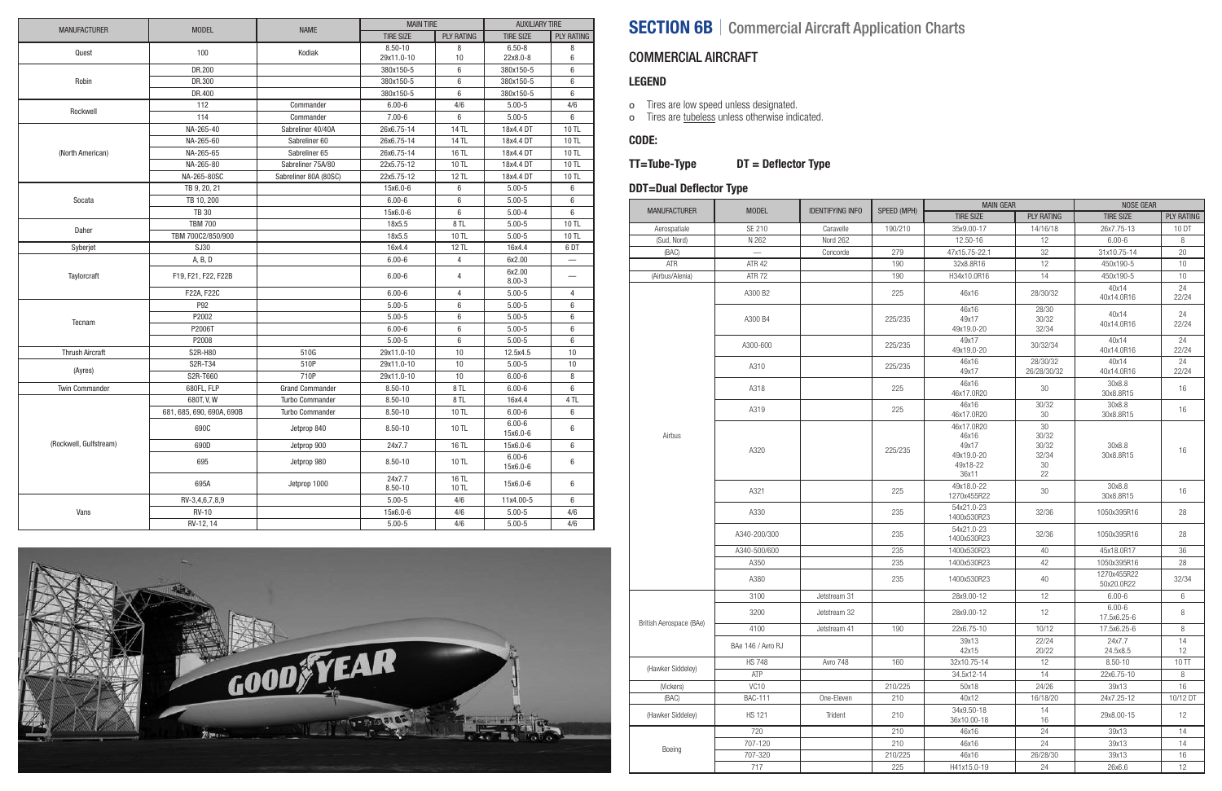- o Tires are low speed unless designated.
- o Tires are tubeless unless otherwise indicated.

### COMMERCIAL AIRCRAFT

#### LEGEND

#### CODE:

### TT=Tube-Type DT = Deflector Type

### DDT=Dual Deflector Type

|                        | <b>MODEL</b>              | <b>NAME</b>            | <b>MAIN TIRE</b>          |                   | <b>AUXILIARY TIRE</b>  |                      |
|------------------------|---------------------------|------------------------|---------------------------|-------------------|------------------------|----------------------|
| <b>MANUFACTURER</b>    |                           |                        | <b>TIRE SIZE</b>          | <b>PLY RATING</b> | <b>TIRE SIZE</b>       | <b>PLY RATING</b>    |
| Quest                  | 100                       | Kodiak                 | $8.50 - 10$<br>29x11.0-10 | 8<br>10           | $6.50 - 8$<br>22x8.0-8 | 8<br>$6\phantom{1}6$ |
|                        | DR.200                    |                        | 380x150-5                 | $6\phantom{1}$    | 380x150-5              | $6\phantom{1}$       |
| Robin                  | DR.300                    |                        | 380x150-5                 | 6                 | 380x150-5              | 6                    |
|                        | DR.400                    |                        | 380x150-5                 | 6                 | 380x150-5              | 6                    |
| Rockwell               | 112                       | Commander              | $6.00 - 6$                | 4/6               | $5.00 - 5$             | 4/6                  |
|                        | 114                       | Commander              | $7.00 - 6$                | $\,6\,$           | $5.00 - 5$             | $6\phantom{1}$       |
|                        | NA-265-40                 | Sabreliner 40/40A      | 26x6.75-14                | 14 TL             | 18x4.4 DT              | 10 TL                |
|                        | NA-265-60                 | Sabreliner 60          | 26x6.75-14                | 14 TL             | 18x4.4 DT              | 10 TL                |
| (North American)       | NA-265-65                 | Sabreliner 65          | 26x6.75-14                | 16 TL             | 18x4.4 DT              | 10 TL                |
|                        | NA-265-80                 | Sabreliner 75A/80      | 22x5.75-12                | 10 TL             | 18x4.4 DT              | <b>10 TL</b>         |
|                        | NA-265-80SC               | Sabreliner 80A (80SC)  | 22x5.75-12                | 12 TL             | 18x4.4 DT              | 10 TL                |
|                        | TB 9, 20, 21              |                        | 15x6.0-6                  | 6                 | $5.00 - 5$             | 6                    |
| Socata                 | TB 10, 200                |                        | $6.00 - 6$                | $6\phantom{1}$    | $5.00 - 5$             | 6                    |
|                        | <b>TB 30</b>              |                        | 15x6.0-6                  | 6                 | $5.00 - 4$             | 6                    |
| Daher                  | <b>TBM 700</b>            |                        | 18x5.5                    | 8TL               | $5.00 - 5$             | 10 TL                |
|                        | TBM 700C2/850/900         |                        | 18x5.5                    | 10 TL             | $5.00 - 5$             | 10 TL                |
| Syberjet               | SJ30                      |                        | 16x4.4                    | <b>12 TL</b>      | 16x4.4                 | 6DT                  |
|                        | A, B, D                   |                        | $6.00 - 6$                | $\overline{4}$    | 6x2.00                 |                      |
| Taylorcraft            | F19, F21, F22, F22B       |                        | $6.00 - 6$                | $\overline{4}$    | 6x2.00<br>$8.00 - 3$   |                      |
|                        | F22A, F22C                |                        | $6.00 - 6$                | $\overline{4}$    | $5.00 - 5$             | $\overline{4}$       |
|                        | P92                       |                        | $5.00 - 5$                | $\,6\,$           | $5.00 - 5$             | 6                    |
|                        | P2002                     |                        | $5.00 - 5$                | $\,6\,$           | $5.00 - 5$             | $\,6\,$              |
| Tecnam                 | P2006T                    |                        | $6.00 - 6$                | $\,6\,$           | $5.00 - 5$             | 6                    |
|                        | P2008                     |                        | $5.00 - 5$                | $\,6\,$           | $5.00 - 5$             | $6\,$                |
| <b>Thrush Aircraft</b> | S2R-H80                   | 510G                   | 29x11.0-10                | 10                | 12.5x4.5               | 10                   |
|                        | S2R-T34                   | 510P                   | 29x11.0-10                | 10                | $5.00 - 5$             | 10                   |
| (Ayres)                | S2R-T660                  | 710P                   | 29x11.0-10                | 10                | $6.00 - 6$             | 8                    |
| <b>Twin Commander</b>  | 680FL, FLP                | <b>Grand Commander</b> | $8.50 - 10$               | 8TL               | $6.00 - 6$             | 6                    |
|                        | 680T, V, W                | <b>Turbo Commander</b> | $8.50 - 10$               | 8 TL              | 16x4.4                 | 4 TL                 |
|                        | 681, 685, 690, 690A, 690B | Turbo Commander        | $8.50 - 10$               | 10 TL             | $6.00 - 6$             | $6\phantom{1}6$      |
|                        | 690C                      | Jetprop 840            | $8.50 - 10$               | 10 TL             | $6.00 - 6$<br>15x6.0-6 | $6\,$                |
| (Rockwell, Gulfstream) | 690D                      | Jetprop 900            | 24x7.7                    | 16 TL             | 15x6.0-6               | 6                    |
|                        | 695                       | Jetprop 980            | $8.50 - 10$               | 10 TL             | $6.00 - 6$<br>15x6.0-6 | $6\,$                |
|                        | 695A                      | Jetprop 1000           | 24x7.7<br>$8.50 - 10$     | 16 TL<br>10 TL    | 15x6.0-6               | $6\,$                |
|                        | RV-3,4,6,7,8,9            |                        | $5.00 - 5$                | 4/6               | 11x4.00-5              | 6                    |
| Vans                   | <b>RV-10</b>              |                        | 15x6.0-6                  | 4/6               | $5.00 - 5$             | 4/6                  |
|                        | RV-12, 14                 |                        | $5.00 - 5$                | 4/6               | $5.00 - 5$             | 4/6                  |



# SECTION 6B | Commercial Aircraft Application Charts

|                         |                   |                         |             | <b>MAIN GEAR</b>                                                |                                               | NOSE GEAR                 |                   |
|-------------------------|-------------------|-------------------------|-------------|-----------------------------------------------------------------|-----------------------------------------------|---------------------------|-------------------|
| <b>MANUFACTURER</b>     | <b>MODEL</b>      | <b>IDENTIFYING INFO</b> | SPEED (MPH) | <b>TIRE SIZE</b>                                                | <b>PLY RATING</b>                             | <b>TIRE SIZE</b>          | <b>PLY RATING</b> |
| Aerospatiale            | SE 210            | Caravelle               | 190/210     | 35x9.00-17                                                      | 14/16/18                                      | 26x7.75-13                | 10 DT             |
| (Sud, Nord)             | N 262             | Nord 262                |             | 12.50-16                                                        | 12                                            | $6.00 - 6$                | 8                 |
| (BAC)                   |                   | Concorde                | 279         | 47x15.75-22.1                                                   | 32                                            | 31x10.75-14               | 20                |
| ATR                     | <b>ATR 42</b>     |                         | 190         | 32x8.8R16                                                       | 12                                            | 450x190-5                 | 10                |
| (Airbus/Alenia)         | <b>ATR 72</b>     |                         | 190         | H34x10.0R16                                                     | 14                                            | 450x190-5                 | 10                |
|                         | A300 B2           |                         | 225         | 46x16                                                           | 28/30/32                                      | 40x14<br>40x14.0R16       | 24<br>22/24       |
| Airbus                  | A300 B4           |                         | 225/235     | 46x16<br>49x17<br>49x19.0-20                                    | 28/30<br>30/32<br>32/34                       | 40x14<br>40x14.0R16       | 24<br>22/24       |
|                         | A300-600          |                         | 225/235     | 49x17<br>49x19.0-20                                             | 30/32/34                                      | 40x14<br>40x14.0R16       | 24<br>22/24       |
|                         | A310              |                         | 225/235     | 46x16<br>49x17                                                  | 28/30/32<br>26/28/30/32                       | 40x14<br>40x14.0R16       | 24<br>22/24       |
|                         | A318              |                         | 225         | 46x16<br>46x17.0R20                                             | 30                                            | 30x8.8<br>30x8.8R15       | 16                |
|                         | A319              |                         | 225         | 46x16<br>46x17.0R20                                             | 30/32<br>30                                   | 30x8.8<br>30x8.8R15       | 16                |
|                         | A320              |                         | 225/235     | 46x17.0R20<br>46x16<br>49x17<br>49x19.0-20<br>49x18-22<br>36x11 | 30<br>30/32<br>30/32<br>32/34<br>$30\,$<br>22 | 30x8.8<br>30x8.8R15       | 16                |
|                         | A321              |                         | 225         | 49x18.0-22<br>1270x455R22                                       | 30                                            | 30x8.8<br>30x8.8R15       | 16                |
|                         | A330              |                         | 235         | 54x21.0-23<br>1400x530R23                                       | 32/36                                         | 1050x395R16               | 28                |
|                         | A340-200/300      |                         | 235         | 54x21.0-23<br>1400x530R23                                       | 32/36                                         | 1050x395R16               | 28                |
|                         | A340-500/600      |                         | 235         | 1400x530R23                                                     | 40                                            | 45x18.0R17                | 36                |
|                         | A350              |                         | 235         | 1400x530R23                                                     | 42                                            | 1050x395R16               | 28                |
|                         | A380              |                         | 235         | 1400x530R23                                                     | 40                                            | 1270x455R22<br>50x20.0R22 | 32/34             |
|                         | 3100              | Jetstream 31            |             | 28x9.00-12                                                      | 12                                            | $6.00 - 6$                | 6                 |
| British Aerospace (BAe) | 3200              | Jetstream 32            |             | 28x9.00-12                                                      | 12                                            | $6.00 - 6$<br>17.5x6.25-6 | 8                 |
|                         | 4100              | Jetstream 41            | 190         | 22x6.75-10                                                      | 10/12                                         | 17.5x6.25-6               | $\, 8$            |
|                         | BAe 146 / Avro RJ |                         |             | 39x13<br>42x15                                                  | 22/24<br>20/22                                | 24x7.7<br>24.5x8.5        | $14$<br>12        |
| (Hawker Siddeley)       | <b>HS 748</b>     | Avro 748                | 160         | 32x10.75-14                                                     | 12                                            | $8.50 - 10$               | 10 TT             |
|                         | ATP               |                         |             | 34.5x12-14                                                      | 14                                            | 22x6.75-10                | 8                 |
| (Vickers)               | VC <sub>10</sub>  |                         | 210/225     | 50x18                                                           | 24/26                                         | 39x13                     | $16\,$            |
| (BAC)                   | <b>BAC-111</b>    | One-Eleven              | 210         | 40x12                                                           | 16/18/20                                      | 24x7.25-12                | 10/12 DT          |
| (Hawker Siddeley)       | <b>HS 121</b>     | Trident                 | 210         | 34x9.50-18<br>36x10.00-18                                       | 14<br>16                                      | 29x8.00-15                | 12                |
|                         | 720               |                         | 210         | 46x16                                                           | 24                                            | 39x13                     | 14                |
| Boeing                  | 707-120           |                         | 210         | 46x16                                                           | 24                                            | 39x13                     | 14                |
|                         | 707-320           |                         | 210/225     | 46x16                                                           | 26/28/30                                      | 39x13                     | 16                |
|                         | 717               |                         | 225         | H41x15.0-19                                                     | 24                                            | 26x6.6                    | 12                |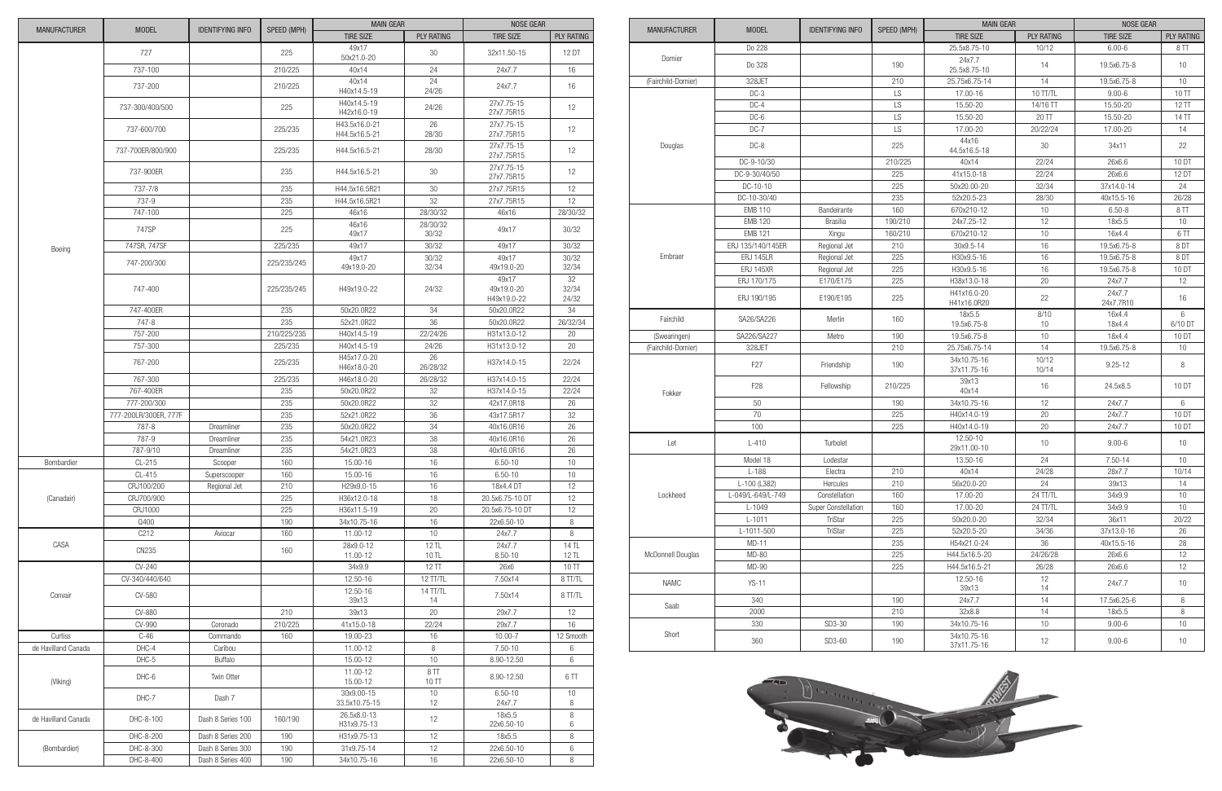|                     |                       |                         |             | <b>MAIN GEAR</b>               |                       | <b>NOSE GEAR</b>                   |                      |
|---------------------|-----------------------|-------------------------|-------------|--------------------------------|-----------------------|------------------------------------|----------------------|
| <b>MANUFACTURER</b> | <b>MODEL</b>          | <b>IDENTIFYING INFO</b> | SPEED (MPH) | <b>TIRE SIZE</b>               | <b>PLY RATING</b>     | <b>TIRE SIZE</b>                   | <b>PLY RATING</b>    |
|                     | 727                   |                         | 225         | 49x17<br>50x21.0-20            | 30                    | 32x11.50-15                        | 12 DT                |
|                     | 737-100               |                         | 210/225     | 40x14                          | 24                    | 24x7.7                             | 16                   |
|                     | 737-200               |                         | 210/225     | 40x14<br>H40x14.5-19           | 24<br>24/26           | 24x7.7                             | 16                   |
|                     | 737-300/400/500       |                         | 225         | H40x14.5-19<br>H42x16.0-19     | 24/26                 | 27x7.75-15<br>27x7.75R15           | 12                   |
|                     | 737-600/700           |                         | 225/235     | H43.5x16.0-21<br>H44.5x16.5-21 | 26<br>28/30           | 27x7.75-15<br>27x7.75R15           | 12                   |
|                     | 737-700ER/800/900     |                         | 225/235     | H44.5x16.5-21                  | 28/30                 | 27x7.75-15<br>27x7.75R15           | 12                   |
|                     | 737-900ER             |                         | 235         | H44.5x16.5-21                  | 30                    | 27x7.75-15<br>27x7.75R15           | 12                   |
|                     | 737-7/8               |                         | 235         | H44.5x16.5R21                  | 30                    | 27x7.75R15                         | 12                   |
|                     | 737-9                 |                         | 235         | H44.5x16.5R21                  | 32                    | 27x7.75R15                         | 12                   |
|                     | 747-100               |                         | 225         | 46x16                          | 28/30/32              | 46x16                              | 28/30/32             |
|                     | 747SP                 |                         | 225         | 46x16<br>49x17                 | 28/30/32<br>30/32     | 49x17                              | 30/32                |
|                     | 747SR, 747SF          |                         | 225/235     | 49x17                          | 30/32                 | 49x17                              | 30/32                |
| Boeing              |                       |                         |             | 49x17                          | 30/32                 | 49x17                              | 30/32                |
|                     | 747-200/300           |                         | 225/235/245 | 49x19.0-20                     | 32/34                 | 49x19.0-20                         | 32/34                |
|                     | 747-400               |                         | 225/235/245 | H49x19.0-22                    | 24/32                 | 49x17<br>49x19.0-20<br>H49x19.0-22 | 32<br>32/34<br>24/32 |
|                     | 747-400ER             |                         | 235         | 50x20.0R22                     | 34                    | 50x20.0R22                         | 34                   |
|                     | 747-8                 |                         | 235         | 52x21.0R22                     | 36                    | 50x20.0R22                         | 26/32/34             |
|                     | 757-200               |                         | 210/225/235 | H40x14.5-19                    | 22/24/26              | H31x13.0-12                        | 20                   |
|                     | 757-300               |                         | 225/235     | H40x14.5-19                    | 24/26                 | H31x13.0-12                        | 20                   |
|                     | 767-200               |                         | 225/235     | H45x17.0-20<br>H46x18.0-20     | 26<br>26/28/32        | H37x14.0-15                        | 22/24                |
|                     | 767-300               |                         | 225/235     | H46x18.0-20                    | 26/28/32              | H37x14.0-15                        | 22/24                |
|                     | 767-400ER             |                         | 235         | 50x20.0R22                     | 32                    | H37x14.0-15                        | 22/24                |
|                     | 777-200/300           |                         | 235         | 50x20.0R22                     | 32                    | 42x17.0R18                         | 26                   |
|                     | 777-200LR/300ER, 777F |                         | 235         | 52x21.0R22                     | 36                    | 43x17.5R17                         | 32                   |
|                     | 787-8                 | Dreamliner              | 235         | 50x20.0R22                     | 34                    | 40x16.0R16                         | 26                   |
|                     | 787-9                 | Dreamliner              | 235         | 54x21.0R23                     | 38                    | 40x16.0R16                         | 26                   |
|                     | 787-9/10              | Dreamliner              | 235         | 54x21.0R23                     | 38                    | 40x16.0R16                         | 26                   |
| Bombardier          | CL-215                | Scooper                 | 160         | 15.00-16                       | 16                    | $6.50 - 10$                        | 10 <sup>1</sup>      |
|                     | CL-415                | Superscooper            | 160         | 15.00-16                       | 16                    | $6.50 - 10$                        | 10                   |
|                     | CRJ100/200            | Regional Jet            | 210         | H29x9.0-15                     | 16                    | 18x4.4 DT                          | 12                   |
| (Canadair)          | CRJ700/900            |                         | 225         | H36x12.0-18                    | 18                    | 20.5x6.75-10 DT                    | 12                   |
|                     | CRJ1000               |                         | 225         | H36x11.5-19                    | 20                    | 20.5x6.75-10 DT                    | 12                   |
|                     | Q400                  |                         | 190         | 34x10.75-16                    | 16                    | 22x6.50-10                         | 8                    |
|                     | C212                  | Aviocar                 | 160         | 11.00-12                       | 10 <sup>1</sup>       | 24x7.7                             | 8                    |
| CASA                |                       |                         |             | 28x9.0-12                      | 12 TL                 | 24x7.7                             | 14 TL                |
|                     | CN235                 |                         | 160         | 11.00-12                       | 10 TL                 | $8.50 - 10$                        | 12 TL                |
|                     | CV-240                |                         |             | 34x9.9                         | 12 TT                 | 26x6                               | $10$ TT              |
|                     | CV-340/440/640        |                         |             | 12.50-16                       | 12 TT/TL              | 7.50x14                            | 8 TT/TL              |
| Convair             | CV-580                |                         |             | 12.50-16<br>39x13              | 14 TT/TL<br>14        | 7.50x14                            | 8 TT/TL              |
|                     | CV-880                |                         | 210         | 39x13                          | 20                    | 29x7.7                             | 12                   |
|                     | CV-990                | Coronado                | 210/225     | 41x15.0-18                     | 22/24                 | 29x7.7                             | 16                   |
| Curtiss             | $C-46$                | Commando                | 160         | 19.00-23                       | 16                    | $10.00 - 7$                        | 12 Smooth            |
| de Havilland Canada | DHC-4                 | Caribou                 |             | 11.00-12                       | 8                     | $7.50 - 10$                        | 6                    |
|                     | DHC-5                 | <b>Buffalo</b>          |             | 15.00-12                       | $10$                  | 8.90-12.50                         | 6                    |
| (Viking)            | DHC-6                 | Twin Otter              |             | 11.00-12<br>15.00-12           | 8TT<br>10 TT          | 8.90-12.50                         | 6TT                  |
|                     | DHC-7                 | Dash 7                  |             | 30x9.00-15<br>33.5x10.75-15    | 10 <sup>1</sup><br>12 | $6.50 - 10$<br>24x7.7              | 10<br>8              |
| de Havilland Canada | DHC-8-100             | Dash 8 Series 100       | 160/190     | 26.5x8.0-13<br>H31x9.75-13     | 12                    | 18x5.5<br>22x6.50-10               | 8<br>6               |
|                     | DHC-8-200             | Dash 8 Series 200       | 190         | H31x9.75-13                    | 12                    | 18x5.5                             | 8                    |
| (Bombardier)        | DHC-8-300             | Dash 8 Series 300       | 190         | 31x9.75-14                     | 12                    | 22x6.50-10                         | 6                    |
|                     | DHC-8-400             | Dash 8 Series 400       |             | 34x10.75-16                    | 16                    | 22x6.50-10                         | 8                    |
|                     |                       |                         | 190         |                                |                       |                                    |                      |

|                     |                   |                         | SPEED (MPH)     | <b>MAIN GEAR</b>           |                   | <b>NOSE GEAR</b>    |                   |
|---------------------|-------------------|-------------------------|-----------------|----------------------------|-------------------|---------------------|-------------------|
| <b>MANUFACTURER</b> | <b>MODEL</b>      | <b>IDENTIFYING INFO</b> |                 | <b>TIRE SIZE</b>           | <b>PLY RATING</b> | <b>TIRE SIZE</b>    | <b>PLY RATING</b> |
|                     | Do 228            |                         |                 | 25.5x8.75-10               | 10/12             | $6.00 - 6$          | 8 <sub>TT</sub>   |
| Dornier             | Do 328            |                         | 190             | 24x7.7<br>25.5x8.75-10     | 14                | 19.5x6.75-8         | 10                |
| (Fairchild-Dornier) | 328JET            |                         | 210             | 25.75x6.75-14              | 14                | 19.5x6.75-8         | 10                |
|                     | $DC-3$            |                         | $\overline{LS}$ | 17.00-16                   | 10 TT/TL          | $9.00 - 6$          | 10TT              |
|                     | $DC-4$            |                         | LS              | 15.50-20                   | 14/16 TT          | 15.50-20            | 12 TT             |
|                     | $DC-6$            |                         | LS              | 15.50-20                   | 20 TT             | 15.50-20            | 14 TT             |
|                     | $DC-7$            |                         | LS              | 17.00-20                   | 20/22/24          | 17.00-20            | 14                |
| Douglas             | DC-8              |                         | 225             | 44x16<br>44.5x16.5-18      | 30                | 34x11               | 22                |
|                     | DC-9-10/30        |                         | 210/225         | 40x14                      | 22/24             | 26x6.6              | 10 DT             |
|                     | DC-9-30/40/50     |                         | 225             | 41x15.0-18                 | 22/24             | 26x6.6              | 12 DT             |
|                     | DC-10-10          |                         | 225             | 50x20.00-20                | 32/34             | 37x14.0-14          | 24                |
|                     | DC-10-30/40       |                         | 235             | 52x20.5-23                 | 28/30             | 40x15.5-16          | 26/28             |
|                     | <b>EMB 110</b>    | Bandeirante             | 160             | 670x210-12                 | 10                | $6.50 - 8$          | 8 TT              |
|                     | <b>EMB 120</b>    | <b>Brasilia</b>         | 190/210         | 24x7.25-12                 | 12                | 18x5.5              | 10                |
|                     | <b>EMB 121</b>    | Xingu                   | 160/210         | 670x210-12                 | 10                | 16x4.4              | 6 <sub>TT</sub>   |
|                     | ERJ 135/140/145ER | Regional Jet            | 210             | 30x9.5-14                  | 16                | 19.5x6.75-8         | 8DT               |
| Embraer             | ERJ 145LR         | Regional Jet            | 225             | H30x9.5-16                 | 16                | 19.5x6.75-8         | 8DT               |
|                     | ERJ 145XR         | Regional Jet            | 225             | H30x9.5-16                 | 16                | 19.5x6.75-8         | 10 DT             |
|                     | ERJ 170/175       | E170/E175               | 225             | H38x13.0-18                | 20                | 24x7.7              | 12                |
|                     | ERJ 190/195       | E190/E195               | 225             | H41x16.0-20<br>H41x16.0R20 | 22                | 24x7.7<br>24x7.7R10 | 16                |
| Fairchild           | SA26/SA226        | Merlin                  | 160             | 18x5.5<br>19.5x6.75-8      | 8/10<br>10        | 16x4.4<br>18x4.4    | 6<br>6/10 DT      |
| (Swearingen)        | SA226/SA227       | Metro                   | 190             | 19.5x6.75-8                | 10                | 18x4.4              | 10 DT             |
| (Fairchild-Dornier) | 328JET            |                         | 210             | 25.75x6.75-14              | 14                | 19.5x6.75-8         | 10                |
|                     | F <sub>27</sub>   | Friendship              | 190             | 34x10.75-16<br>37x11.75-16 | 10/12<br>10/14    | $9.25 - 12$         | 8                 |
| Fokker              | F <sub>28</sub>   | Fellowship              | 210/225         | 39x13<br>40x14             | 16                | 24.5x8.5            | 10 DT             |
|                     | 50                |                         | 190             | 34x10.75-16                | 12                | 24x7.7              | 6                 |
|                     | 70                |                         | 225             | H40x14.0-19                | 20                | 24x7.7              | 10 DT             |
|                     | 100               |                         | 225             | H40x14.0-19                | 20                | 24x7.7              | 10 DT             |
| Let                 | $L-410$           | Turbolet                |                 | 12.50-10<br>29x11.00-10    | 10                | $9.00 - 6$          | 10                |
|                     | Model 18          | Lodestar                |                 | 13.50-16                   | 24                | 7.50-14             | 10                |
|                     | $L-188$           | Electra                 | 210             | 40x14                      | 24/28             | 28x7.7              | 10/14             |
|                     | L-100 (L382)      | Hercules                | 210             | 56x20.0-20                 | 24                | 39x13               | 14                |
| Lockheed            | L-049/L-649/L-749 | Constellation           | 160             | 17.00-20                   | 24 TT/TL          | 34x9.9              | $10$              |
|                     | $L-1049$          | Super Constellation     | 160             | 17.00-20                   | 24 TT/TL          | 34x9.9              | 10 <sup>°</sup>   |
|                     | $L-1011$          | TriStar                 | 225             | 50x20.0-20                 | 32/34             | 36x11               | 20/22             |
|                     | L-1011-500        | TriStar                 | 225             | 52x20.5-20                 | 34/36             | 37x13.0-16          | 26                |
|                     | $MD-11$           |                         | 235             | H54x21.0-24                | 36                | 40x15.5-16          | 28                |
| McDonnell Douglas   | MD-80             |                         | 225             | H44.5x16.5-20              | 24/26/28          | 26x6.6              | 12                |
|                     | MD-90             |                         | 225             | H44.5x16.5-21              | 26/28             | 26x6.6              | 12                |
| <b>NAMC</b>         | $YS-11$           |                         |                 | 12.50-16<br>39x13          | 12<br>14          | 24x7.7              | 10 <sup>°</sup>   |
|                     | 340               |                         | 190             | 24x7.7                     | 14                | 17.5x6.25-6         | 8                 |
| Saab                | 2000              |                         | 210             | 32x8.8                     | 14                | 18x5.5              | 8                 |
|                     | 330               | SD3-30                  | 190             | 34x10.75-16                | 10 <sup>°</sup>   | $9.00 - 6$          | 10 <sup>°</sup>   |
| Short               | 360               | SD3-60                  | 190             | 34x10.75-16<br>37x11.75-16 | 12                | $9.00 - 6$          | 10                |

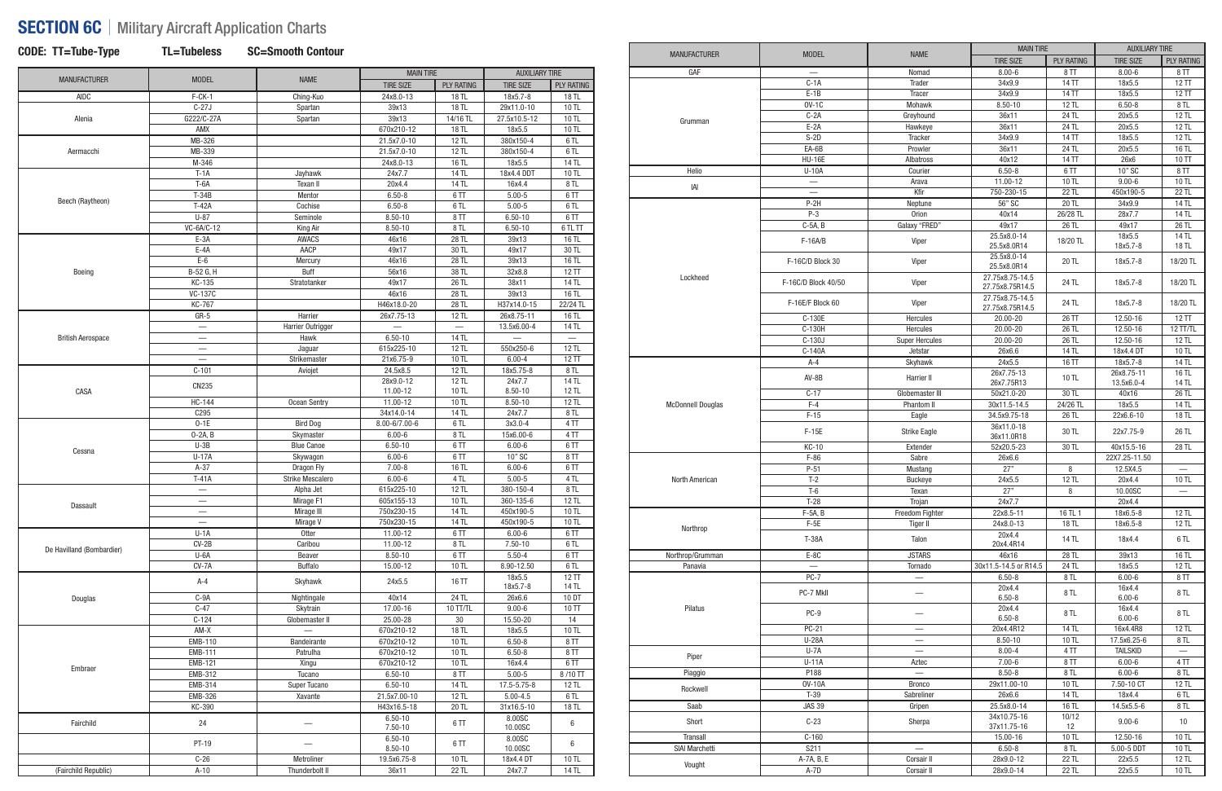# SECTION 6C | Military Aircraft Application Charts

|  |  |  |  |  | CODE: TT=Tube-Ty <sub>l</sub> |
|--|--|--|--|--|-------------------------------|
|--|--|--|--|--|-------------------------------|

CODE: TT=Tube-Type TL=Tubeless SC=Smooth Contour

| <b>MANUFACTURER</b>       | <b>MODEL</b>                   | <b>NAME</b>             | <b>MAIN TIRE</b> |                   | <b>AUXILIARY TIRE</b> |                   |
|---------------------------|--------------------------------|-------------------------|------------------|-------------------|-----------------------|-------------------|
|                           |                                |                         | <b>TIRE SIZE</b> | <b>PLY RATING</b> | <b>TIRE SIZE</b>      | <b>PLY RATING</b> |
| <b>AIDC</b>               | $F-CK-1$                       | Ching-Kuo               | 24x8.0-13        | 18 TL             | 18x5.7-8              | 18 TL             |
|                           | $C-27J$                        | Spartan                 | 39x13            | 18 TL             | 29x11.0-10            | 10 TL             |
| Alenia                    | G222/C-27A                     | Spartan                 | 39x13            | 14/16 TL          | 27.5x10.5-12          | 10 TL             |
|                           | AMX                            |                         | 670x210-12       | 18 TL             | 18x5.5                | 10 TL             |
|                           | MB-326                         |                         | 21.5x7.0-10      | 12 TL             | 380x150-4             | 6TL               |
| Aermacchi                 | MB-339                         |                         | 21.5x7.0-10      | 12 TL             | 380x150-4             | 6 TL              |
|                           | M-346                          |                         | 24x8.0-13        | 16 TL             | 18x5.5                | 14 TL             |
|                           | $T-1A$                         | Jayhawk                 | 24x7.7           | <b>14 TL</b>      | 18x4.4 DDT            | 10 TL             |
|                           | $T-6A$                         | Texan II                | 20x4.4           | 14 TL             | 16x4.4                | 8 TL              |
|                           | $T-34B$                        | Mentor                  | $6.50 - 8$       | 6TT               | $5.00 - 5$            | 6TT               |
| Beech (Raytheon)          | $T-42A$                        | Cochise                 | $6.50 - 8$       | 6TL               | $5.00 - 5$            | 6TL               |
|                           | $U-87$                         | Seminole                | $8.50 - 10$      | 8TT               | $6.50 - 10$           | 6TT               |
|                           | VC-6A/C-12                     | King Air                | $8.50 - 10$      | 8TL               | $6.50 - 10$           | 6 TL TT           |
|                           | $E-3A$                         | <b>AWACS</b>            | 46x16            | 28 TL             | 39x13                 | 16 TL             |
|                           | $E-4A$                         | AACP                    | 49x17            | 30 TL             | 49x17                 | 30 TL             |
|                           | $E-6$                          | Mercury                 | 46x16            | 28 TL             | 39x13                 | 16 TL             |
| Boeing                    | B-52 G, H                      | <b>Buff</b>             | 56x16            | 38 TL             | 32x8.8                | 12 TT             |
|                           | KC-135                         | Stratotanker            | 49x17            | 26 TL             | 38x11                 | 14 TL             |
|                           | <b>VC-137C</b>                 |                         | 46x16            | 28 TL             | 39x13                 | 16 TL             |
|                           | KC-767                         |                         | H46x18.0-20      | 28 TL             | H37x14.0-15           | 22/24 TL          |
|                           |                                |                         |                  |                   |                       |                   |
|                           | $GR-5$                         | Harrier                 | 26x7.75-13       | 12 TL             | 26x8.75-11            | 16 TL             |
|                           |                                | Harrier Outrigger       |                  |                   | 13.5x6.00-4           | 14 TL             |
| <b>British Aerospace</b>  | $\overline{\phantom{0}}$       | Hawk                    | $6.50 - 10$      | <b>14 TL</b>      |                       | $\equiv$          |
|                           | $\qquad \qquad \longleftarrow$ | Jaguar                  | 615x225-10       | 12 TL             | 550x250-6             | 12 TL             |
|                           |                                | Strikemaster            | 21x6.75-9        | 10 TL             | $6.00 - 4$            | 12 TT             |
|                           | $C-101$                        | Aviojet                 | 24.5x8.5         | 12 TL             | 18x5.75-8             | 8TL               |
|                           | CN235                          |                         | 28x9.0-12        | 12 TL             | 24x7.7                | 14 TL             |
| CASA                      |                                |                         | 11.00-12         | 10 TL             | $8.50 - 10$           | 12 TL             |
|                           | HC-144                         | Ocean Sentry            | 11.00-12         | 10 TL             | $8.50 - 10$           | 12 TL             |
|                           | C295                           |                         | 34x14.0-14       | 14 TL             | 24x7.7                | 8TL               |
|                           | $0-1E$                         | <b>Bird Dog</b>         | 8.00-6/7.00-6    | 6TL               | 3x3.0-4               | 4TT               |
|                           | $0-2A, B$                      | Skymaster               | $6.00 - 6$       | 8TL               | 15x6.00-6             | 4TT               |
|                           | $U-3B$                         | <b>Blue Canoe</b>       | $6.50 - 10$      | 6TT               | $6.00 - 6$            | 6TT               |
| Cessna                    | <b>U-17A</b>                   | Skywagon                | $6.00 - 6$       | 6TT               | 10" SC                | 8TT               |
|                           | $A-37$                         | Dragon Fly              | $7.00 - 8$       | 16 TL             | $6.00 - 6$            | 6TT               |
|                           | $T-41A$                        | <b>Strike Mescalero</b> | $6.00 - 6$       | 4 TL              | $5.00 - 5$            | 4 TL              |
|                           | $\overline{\phantom{0}}$       | Alpha Jet               | 615x225-10       | 12 TL             | 380-150-4             | 8TL               |
|                           | $\overline{\phantom{0}}$       | Mirage F1               | 605x155-13       | 10 TL             | 360-135-6             | 12 TL             |
| Dassault                  |                                | Mirage III              | 750x230-15       | 14 TL             | 450x190-5             | $10$ TL           |
|                           | $\qquad \qquad -$              | Mirage V                | 750x230-15       | 14 TL             | 450x190-5             | 10 TL             |
|                           | $U-1A$                         | Otter                   | 11.00-12         | 6TT               | $6.00 - 6$            | 6TT               |
|                           | $CV-2B$                        | Caribou                 | 11.00-12         | 8TL               | $7.50 - 10$           | 6TL               |
| De Havilland (Bombardier) | U-6A                           | Beaver                  | $8.50 - 10$      | 6TT               | $5.50 - 4$            | 6TT               |
|                           | $CV-7A$                        | <b>Buffalo</b>          | 15.00-12         | 10 TL             | 8.90-12.50            | 6TL               |
|                           |                                |                         |                  |                   |                       |                   |
|                           | A-4                            | Skyhawk                 | 24x5.5           | 16 TT             | 18x5.5<br>18x5.7-8    | 12 TT<br>14 TL    |
|                           | $C-9A$                         |                         |                  |                   |                       |                   |
| Douglas                   |                                | Nightingale             | 40x14            | 24 TL             | 26x6.6                | 10 DT             |
|                           | $C-47$                         | Skytrain                | 17.00-16         | 10 TT/TL          | $9.00 - 6$            | $10$ TT           |
|                           | $C-124$                        | Globemaster II          | 25.00-28         | 30                | 15.50-20              | 14                |
|                           | AM-X                           |                         | 670x210-12       | 18 TL             | 18x5.5                | 10 TL             |
|                           | <b>EMB-110</b>                 | Bandeirante             | 670x210-12       | 10 TL             | $6.50 - 8$            | 8TT               |
|                           | <b>EMB-111</b>                 | Patrulha                | 670x210-12       | 10 TL             | $6.50 - 8$            | 8TT               |
| Embraer                   | <b>EMB-121</b>                 | Xingu                   | 670x210-12       | 10 TL             | 16x4.4                | 6TT               |
|                           | EMB-312                        | Tucano                  | $6.50 - 10$      | 8TT               | $5.00 - 5$            | 8/10 TT           |
|                           | EMB-314                        | Super Tucano            | $6.50 - 10$      | 14 TL             | 17.5-5.75-8           | 12 TL             |
|                           | <b>EMB-326</b>                 | Xavante                 | 21.5x7.00-10     | 12 TL             | $5.00 - 4.5$          | 6 TL              |
|                           | KC-390                         |                         | H43x16.5-18      | 20 TL             | 31x16.5-10            | 18 TL             |
|                           |                                |                         | $6.50 - 10$      |                   | 8.00SC                |                   |
| Fairchild                 | 24                             |                         | $7.50 - 10$      | 6TT               | 10.00SC               | 6                 |
|                           |                                |                         | $6.50 - 10$      |                   | 8.00SC                |                   |
|                           | PT-19                          |                         | $8.50 - 10$      | 6TT               | 10.00SC               | 6                 |
|                           | $C-26$                         | Metroliner              | 19.5x6.75-8      | 10 TL             | 18x4.4 DT             | 10 TL             |
| (Fairchild Republic)      | $A-10$                         | Thunderbolt II          | 36x11            | 22 TL             | 24x7.7                | 14 TL             |

|                          |                               |                          | <b>MAIN TIRE</b>                   |                   | <b>AUXILIARY TIRE</b> |                   |
|--------------------------|-------------------------------|--------------------------|------------------------------------|-------------------|-----------------------|-------------------|
| <b>MANUFACTURER</b>      | <b>MODEL</b>                  | <b>NAME</b>              | <b>TIRE SIZE</b>                   | <b>PLY RATING</b> | <b>TIRE SIZE</b>      | <b>PLY RATING</b> |
| GAF                      |                               | Nomad                    | $8.00 - 6$                         | 8 TT              | $8.00 - 6$            | 8TT               |
|                          | $C-1A$                        | Trader                   | 34x9.9                             | 14 TT             | 18x5.5                | 12TT              |
|                          | $E-1B$                        | Tracer                   | 34x9.9                             | 14 TT             | 18x5.5                | 12TT              |
|                          | $OV-1C$                       | Mohawk                   | $8.50 - 10$                        | 12 TL             | $6.50 - 8$            | 8 TL              |
|                          | $C-2A$                        | Greyhound                | 36x11                              | 24 TL             | 20x5.5                | 12 TL             |
| Grumman                  | $E-2A$                        | Hawkeye                  | 36x11                              | 24 TL             | 20x5.5                | 12 TL             |
|                          | $S-2D$                        | Tracker                  | 34x9.9                             | 14 TT             | 18x5.5                | 12 TL             |
|                          | EA-6B                         | Prowler                  | 36x11                              | 24 TL             | 20x5.5                | 16 TL             |
|                          | <b>HU-16E</b>                 | Albatross                | 40x12                              | 14 TT             | 26x6                  | 10 TT             |
|                          |                               |                          |                                    |                   |                       |                   |
| Helio                    | $U-10A$                       | Courier                  | $6.50 - 8$                         | 6TT               | 10" SC                | 8TT               |
| IAI                      | $\overline{\phantom{0}}$      | Arava                    | 11.00-12                           | 10 TL             | $9.00 - 6$            | 10 TL             |
|                          | $\overbrace{\phantom{12333}}$ | Kfir                     | 750-230-15                         | 22 TL             | 450x190-5             | 22 TL             |
|                          | $P-2H$                        | Neptune                  | 56" SC                             | $20$ TL           | 34x9.9                | 14 TL             |
|                          | $P-3$                         | Orion                    | 40x14                              | 26/28 TL          | 28x7.7                | 14 TL             |
|                          | $C-5A, B$                     | Galaxy "FRED"            | 49x17                              | 26 TL             | 49x17                 | 26 TL             |
|                          | $F-16A/B$                     | Viper                    | 25.5x8.0-14<br>25.5x8.0R14         | 18/20 TL          | 18x5.5<br>18x5.7-8    | 14 TL<br>18 TL    |
|                          | F-16C/D Block 30              | Viper                    | 25.5x8.0-14<br>25.5x8.0R14         | 20 TL             | 18x5.7-8              | 18/20 TL          |
| Lockheed                 | F-16C/D Block 40/50           | Viper                    | 27.75x8.75-14.5<br>27.75x8.75R14.5 | 24 TL             | 18x5.7-8              | 18/20 TL          |
|                          | F-16E/F Block 60              | Viper                    | 27.75x8.75-14.5<br>27.75x8.75R14.5 | 24 TL             | 18x5.7-8              | 18/20 TL          |
|                          | C-130E                        | Hercules                 | 20.00-20                           | 26 TT             | 12.50-16              | 12T               |
|                          | C-130H                        | Hercules                 | 20.00-20                           | 26 TL             | 12.50-16              | 12 TT/TL          |
|                          | C-130J                        | <b>Super Hercules</b>    | 20.00-20                           | 26 TL             | 12.50-16              | 12 TL             |
|                          | C-140A                        | Jetstar                  | 26x6.6                             | <b>14 TL</b>      | 18x4.4 DT             | 10 TL             |
|                          | $A-4$                         | Skyhawk                  | 24x5.5                             | 16 TT             | 18x5.7-8              | 14 TL             |
|                          |                               |                          | 26x7.75-13                         |                   | 26x8.75-11            | 16 TL             |
| <b>McDonnell Douglas</b> | $AV-8B$                       | Harrier II               | 26x7.75R13                         | 10 TL             | 13.5x6.0-4            | 14 TL             |
|                          | $C-17$                        | Globemaster III          | 50x21.0-20                         | 30 TL             | 40x16                 | 26 TL             |
|                          | $F-4$                         | Phantom II               | 30x11.5-14.5                       | 24/26 TL          | 18x5.5                | 14 TL             |
|                          | $F-15$                        | Eagle                    | 34.5x9.75-18                       | 26 TL             | 22x6.6-10             | 18 TL             |
|                          |                               |                          | 36x11.0-18                         |                   |                       |                   |
|                          | $F-15E$                       | Strike Eagle             | 36x11.0R18                         | 30 TL             | 22x7.75-9             | 26 TL             |
|                          | <b>KC-10</b>                  | Extender                 | 52x20.5-23                         | 30 TL             | 40x15.5-16            | 28 TL             |
|                          | $F-86$                        | Sabre                    | 26x6.6                             |                   | 22X7.25-11.50         |                   |
|                          | $P-51$                        | Mustang                  | 27"                                | 8                 | 12.5X4.5              |                   |
| North American           | $T-2$                         | <b>Buckeye</b>           | 24x5.5                             | <b>12 TL</b>      | 20x4.4                | 10 TL             |
|                          | T-6                           | Texan                    | 27"                                | 8                 | 10.00SC               |                   |
|                          | $T-28$                        | Trojan                   | 24x7.7                             |                   | 20x4.4                |                   |
|                          | $F-5A, B$                     | Freedom Fighter          | 22x8.5-11                          | 16 TL 1           | 18x6.5-8              | 12 TL             |
|                          | $F-5E$                        | <b>Tiger II</b>          | 24x8.0-13                          | 18 TL             | 18x6.5-8              | 12 TL             |
| Northrop                 |                               |                          | 20x4.4                             |                   |                       |                   |
|                          | T-38A                         | Talon                    | 20x4.4R14                          | 14 TL             | 18x4.4                | 6 TL              |
| Northrop/Grumman         | $E-8C$                        | <b>JSTARS</b>            | 46x16                              | 28 TL             | 39x13                 | 16 TL             |
| Panavia                  | $\qquad \qquad -$             | Tornado                  | 30x11.5-14.5 or R14.5              | $24$ TL           | 18x5.5                | $12$ TL           |
|                          | $PC-7$                        | $\overline{\phantom{0}}$ | $6.50 - 8$                         | 8 TL              | $6.00 - 6$            | 8TT               |
|                          | PC-7 MkII                     |                          | 20x4.4<br>$6.50 - 8$               | 8 TL              | 16x4.4<br>$6.00 - 6$  | 8 TL              |
| Pilatus                  | PC-9                          | —                        | 20x4.4<br>$6.50 - 8$               | 8 TL              | 16x4.4<br>$6.00 - 6$  | 8 TL              |
|                          | <b>PC-21</b>                  | $\overline{\phantom{0}}$ | 20x4.4R12                          | 14 TL             | 16x4.4R8              | 12 TL             |
|                          | <b>U-28A</b>                  |                          | $8.50 - 10$                        | 10 TL             | 17.5x6.25-6           | $8$ TL            |
|                          | $U - 7A$                      | $\overline{\phantom{0}}$ | $8.00 - 4$                         | 4TT               | <b>TAILSKID</b>       |                   |
| Piper                    | $U-11A$                       | Aztec                    | $7.00 - 6$                         | 8TT               | $6.00 - 6$            | 4TT               |
| Piaggio                  | P188                          | $\overline{\phantom{0}}$ | $8.50 - 8$                         | 8TL               | $6.00 - 6$            | 8 TL              |
|                          | 0V-10A                        | <b>Bronco</b>            | 29x11.00-10                        | 10 TL             | 7.50-10 CT            | 12 TL             |
| Rockwell                 | $T-39$                        | Sabreliner               | 26x6.6                             | 14 TL             | 18x4.4                | 6 TL              |
| Saab                     | <b>JAS 39</b>                 | Gripen                   | 25.5x8.0-14                        | 16 TL             | 14.5x5.5-6            | 8TL               |
|                          |                               |                          | 34x10.75-16                        | 10/12             |                       |                   |
| Short                    | $C-23$                        | Sherpa                   | 37x11.75-16                        | 12                | $9.00 - 6$            | 10                |
| <b>Transall</b>          | $C-160$                       |                          | 15.00-16                           | 10 TL             | $12.50 - 16$          | 10 TL             |
| SIAI Marchetti           | S211                          | $\overline{\phantom{0}}$ | $6.50 - 8$                         | 8 TL              | 5.00-5 DDT            | 10 TL             |
| Vought                   | A-7A, B, E                    | Corsair II               | 28x9.0-12                          | 22 TL             | 22x5.5                | 12 TL             |
|                          | A-7D                          | Corsair II               | 28x9.0-14                          | 22 TL             | 22x5.5                | 10 TL             |